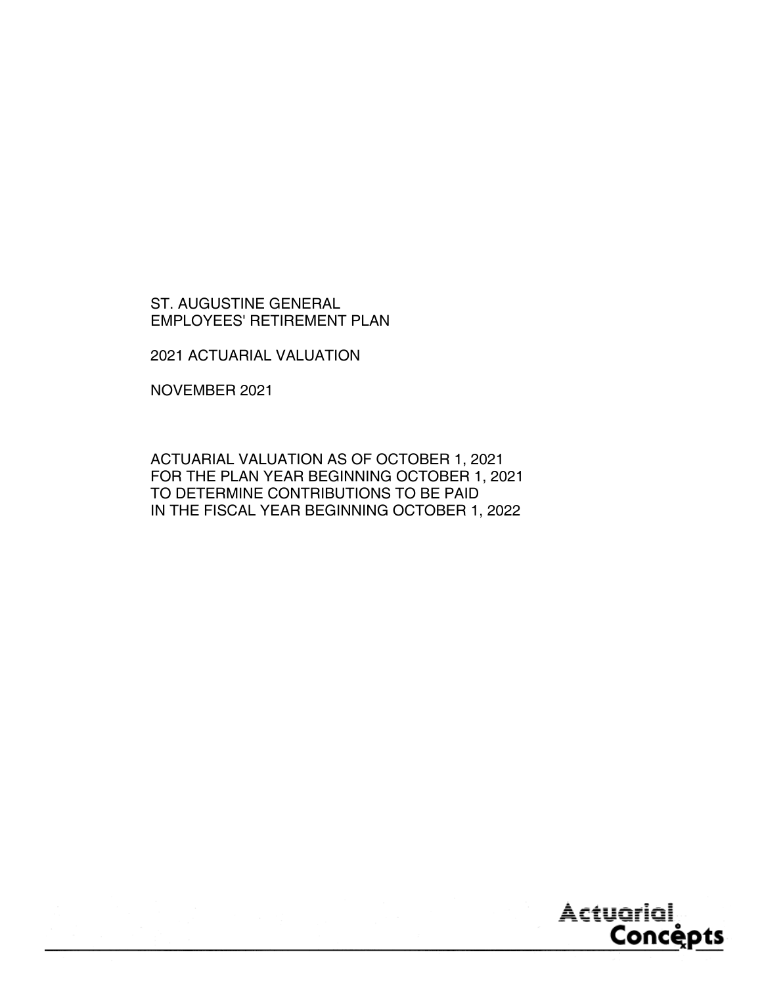2021 ACTUARIAL VALUATION

NOVEMBER 2021

ACTUARIAL VALUATION AS OF OCTOBER 1, 2021 FOR THE PLAN YEAR BEGINNING OCTOBER 1, 2021 TO DETERMINE CONTRIBUTIONS TO BE PAID IN THE FISCAL YEAR BEGINNING OCTOBER 1, 2022

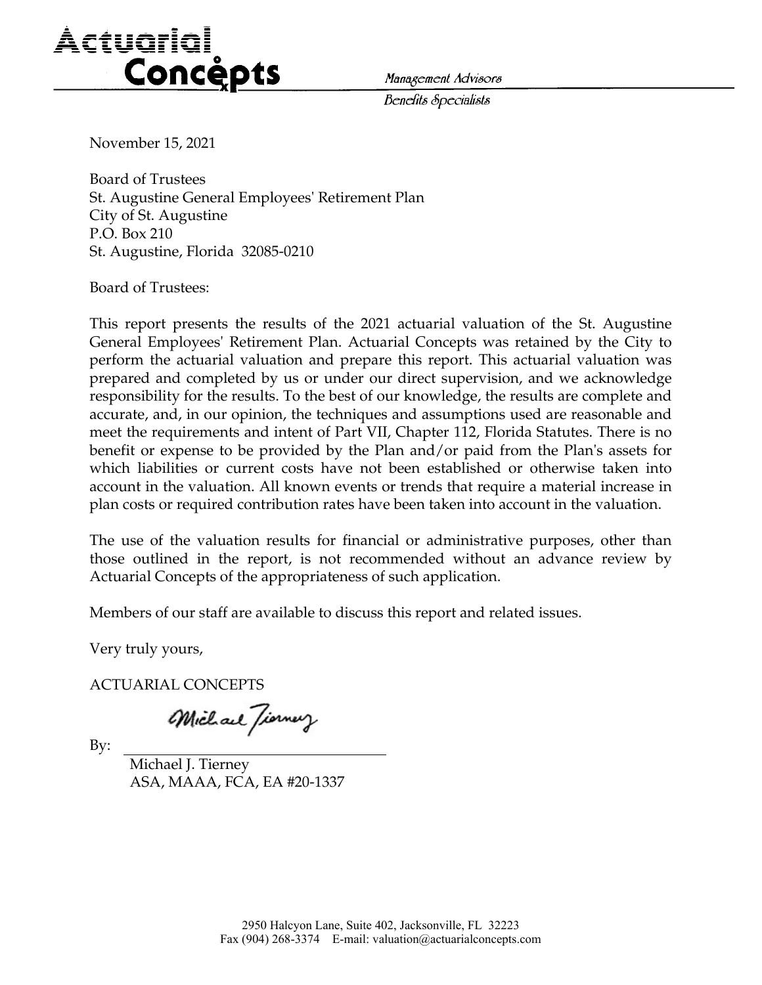# Actuarial<br>Concépts *Management Advisors*

*Benefits Specialists* 

November 15, 2021

Board of Trustees St. Augustine General Employees' Retirement Plan City of St. Augustine P.O. Box 210 St. Augustine, Florida 32085-0210

Board of Trustees:

This report presents the results of the 2021 actuarial valuation of the St. Augustine General Employees' Retirement Plan. Actuarial Concepts was retained by the City to perform the actuarial valuation and prepare this report. This actuarial valuation was prepared and completed by us or under our direct supervision, and we acknowledge responsibility for the results. To the best of our knowledge, the results are complete and accurate, and, in our opinion, the techniques and assumptions used are reasonable and meet the requirements and intent of Part VII, Chapter 112, Florida Statutes. There is no benefit or expense to be provided by the Plan and/or paid from the Plan's assets for which liabilities or current costs have not been established or otherwise taken into account in the valuation. All known events or trends that require a material increase in plan costs or required contribution rates have been taken into account in the valuation.

The use of the valuation results for financial or administrative purposes, other than those outlined in the report, is not recommended without an advance review by Actuarial Concepts of the appropriateness of such application.

Members of our staff are available to discuss this report and related issues.

Very truly yours,

ACTUARIAL CONCEPTS

Michael Jierney

By:

 Michael J. Tierney ASA, MAAA, FCA, EA #20-1337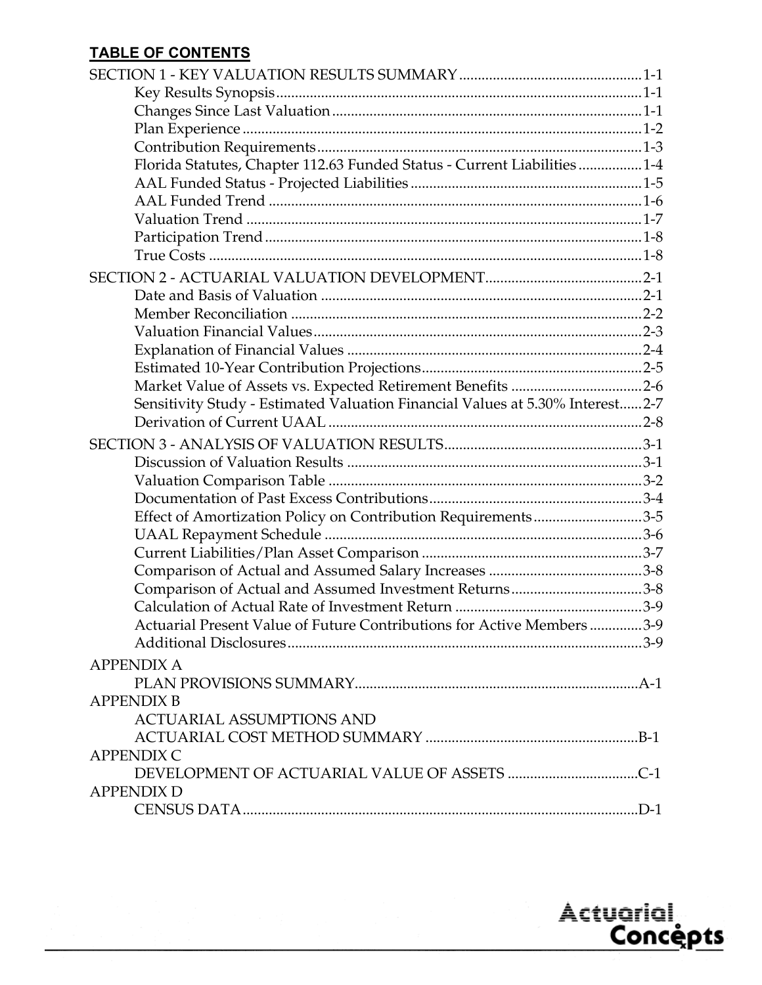# **TABLE OF CONTENTS**

| Florida Statutes, Chapter 112.63 Funded Status - Current Liabilities 1-4      |  |
|-------------------------------------------------------------------------------|--|
|                                                                               |  |
|                                                                               |  |
|                                                                               |  |
|                                                                               |  |
|                                                                               |  |
|                                                                               |  |
|                                                                               |  |
|                                                                               |  |
|                                                                               |  |
|                                                                               |  |
|                                                                               |  |
|                                                                               |  |
| Sensitivity Study - Estimated Valuation Financial Values at 5.30% Interest2-7 |  |
|                                                                               |  |
|                                                                               |  |
|                                                                               |  |
|                                                                               |  |
|                                                                               |  |
| Effect of Amortization Policy on Contribution Requirements3-5                 |  |
|                                                                               |  |
|                                                                               |  |
|                                                                               |  |
| Comparison of Actual and Assumed Investment Returns3-8                        |  |
|                                                                               |  |
| Actuarial Present Value of Future Contributions for Active Members 3-9        |  |
|                                                                               |  |
| <b>APPENDIX A</b>                                                             |  |
|                                                                               |  |
| <b>APPENDIX B</b>                                                             |  |
| <b>ACTUARIAL ASSUMPTIONS AND</b>                                              |  |
|                                                                               |  |
| <b>APPENDIX C</b>                                                             |  |
|                                                                               |  |
| <b>APPENDIX D</b>                                                             |  |
|                                                                               |  |

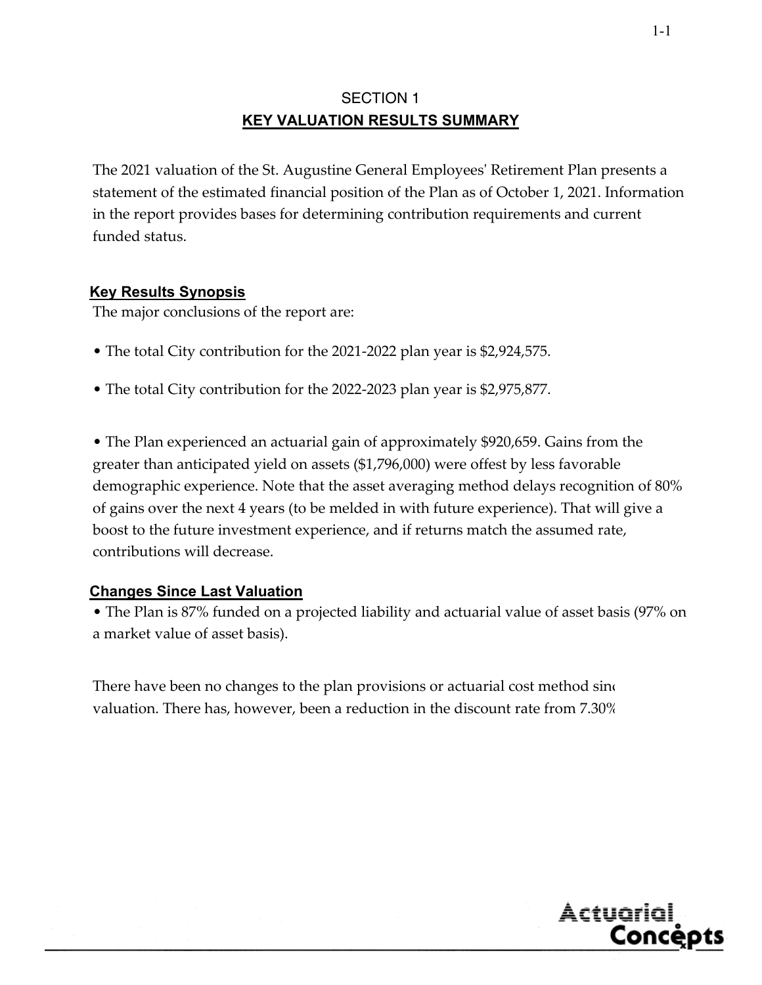# SECTION 1 **KEY VALUATION RESULTS SUMMARY**

The 2021 valuation of the St. Augustine General Employeesʹ Retirement Plan presents a statement of the estimated financial position of the Plan as of October 1, 2021. Information in the report provides bases for determining contribution requirements and current funded status.

# **Key Results Synopsis**

The major conclusions of the report are:

- The total City contribution for the 2021-2022 plan year is \$2,924,575.
- The total City contribution for the 2022-2023 plan year is \$2,975,877.

• The Plan experienced an actuarial gain of approximately \$920,659. Gains from the greater than anticipated yield on assets (\$1,796,000) were offest by less favorable demographic experience. Note that the asset averaging method delays recognition of 80% of gains over the next 4 years (to be melded in with future experience). That will give a boost to the future investment experience, and if returns match the assumed rate, contributions will decrease.

# **Changes Since Last Valuation**

• The Plan is 87% funded on a projected liability and actuarial value of asset basis (97% on a market value of asset basis).

There have been no changes to the plan provisions or actuarial cost method sinc valuation. There has, however, been a reduction in the discount rate from 7.30%

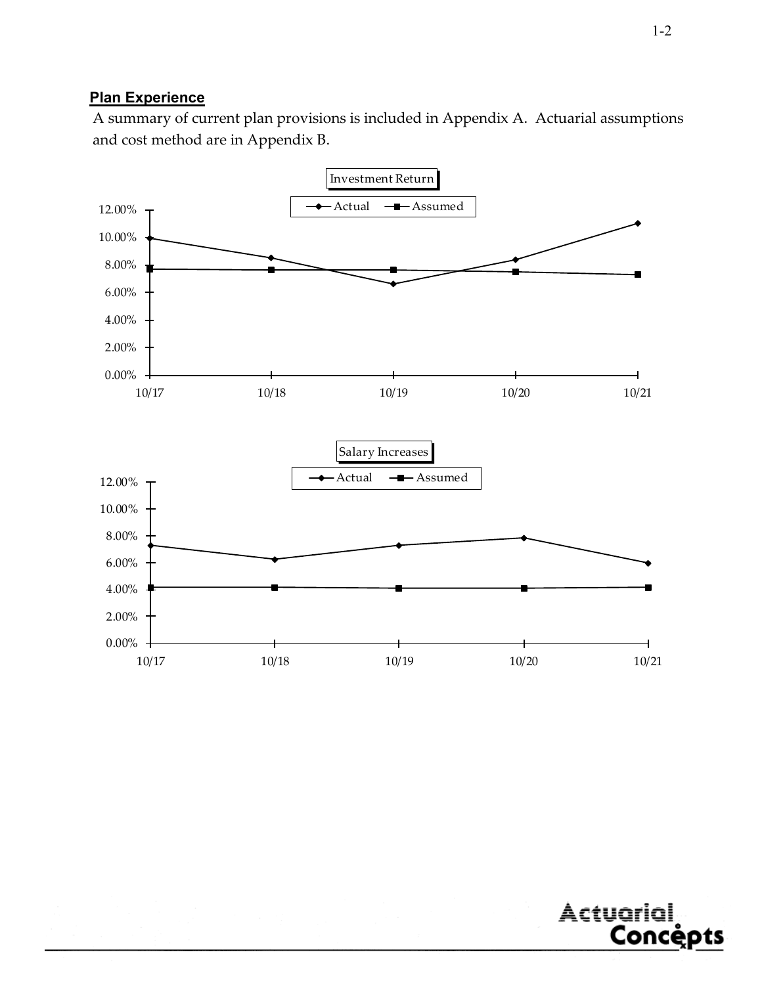# **Plan Experience**

A summary of current plan provisions is included in Appendix A. Actuarial assumptions and cost method are in Appendix B.



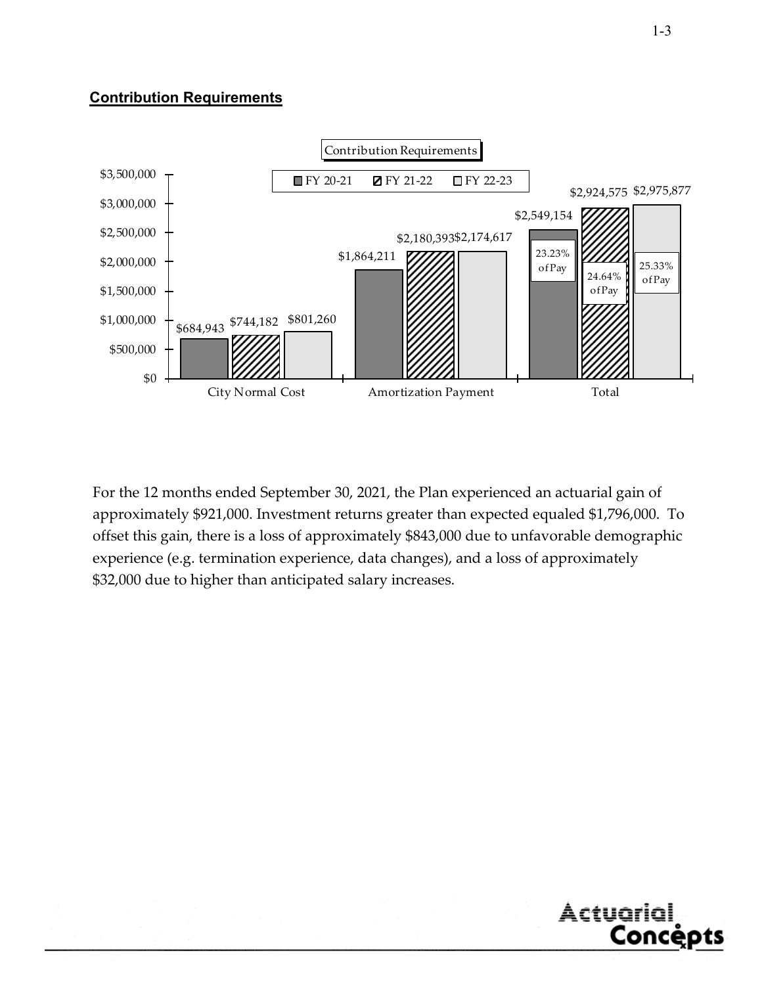# **Contribution Requirements**



For the 12 months ended September 30, 2021, the Plan experienced an actuarial gain of approximately \$921,000. Investment returns greater than expected equaled \$1,796,000. To offset this gain, there is a loss of approximately \$843,000 due to unfavorable demographic experience (e.g. termination experience, data changes), and a loss of approximately \$32,000 due to higher than anticipated salary increases.

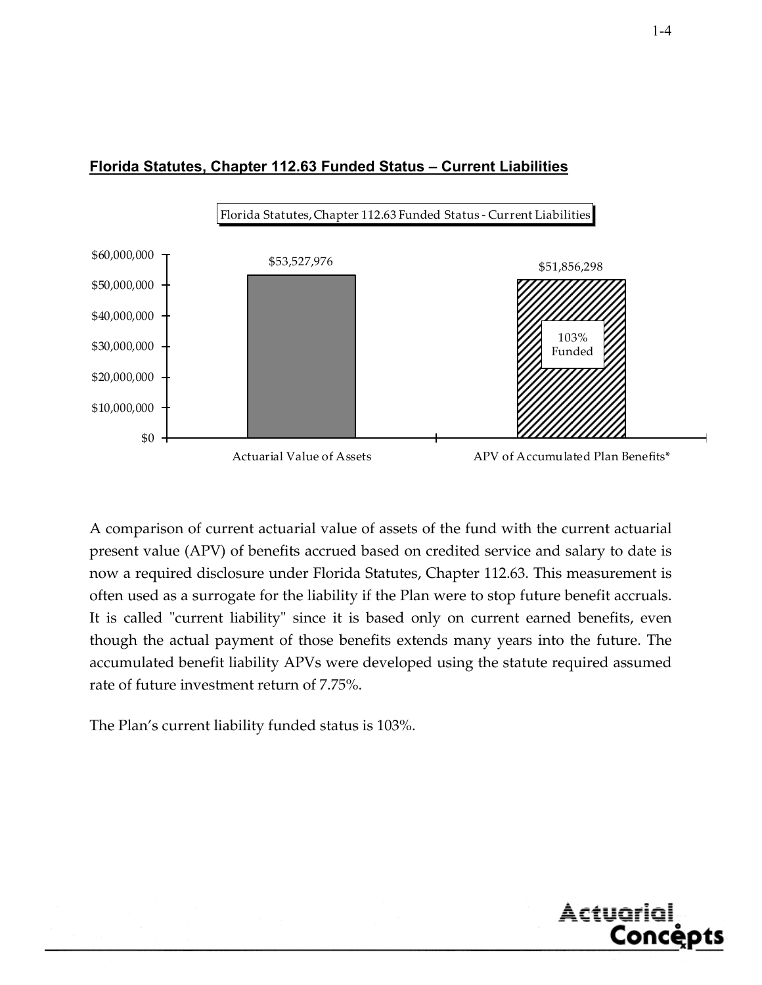



A comparison of current actuarial value of assets of the fund with the current actuarial present value (APV) of benefits accrued based on credited service and salary to date is now a required disclosure under Florida Statutes, Chapter 112.63. This measurement is often used as a surrogate for the liability if the Plan were to stop future benefit accruals. It is called "current liability" since it is based only on current earned benefits, even though the actual payment of those benefits extends many years into the future. The accumulated benefit liability APVs were developed using the statute required assumed rate of future investment return of 7.75%.

The Plan's current liability funded status is 103%.

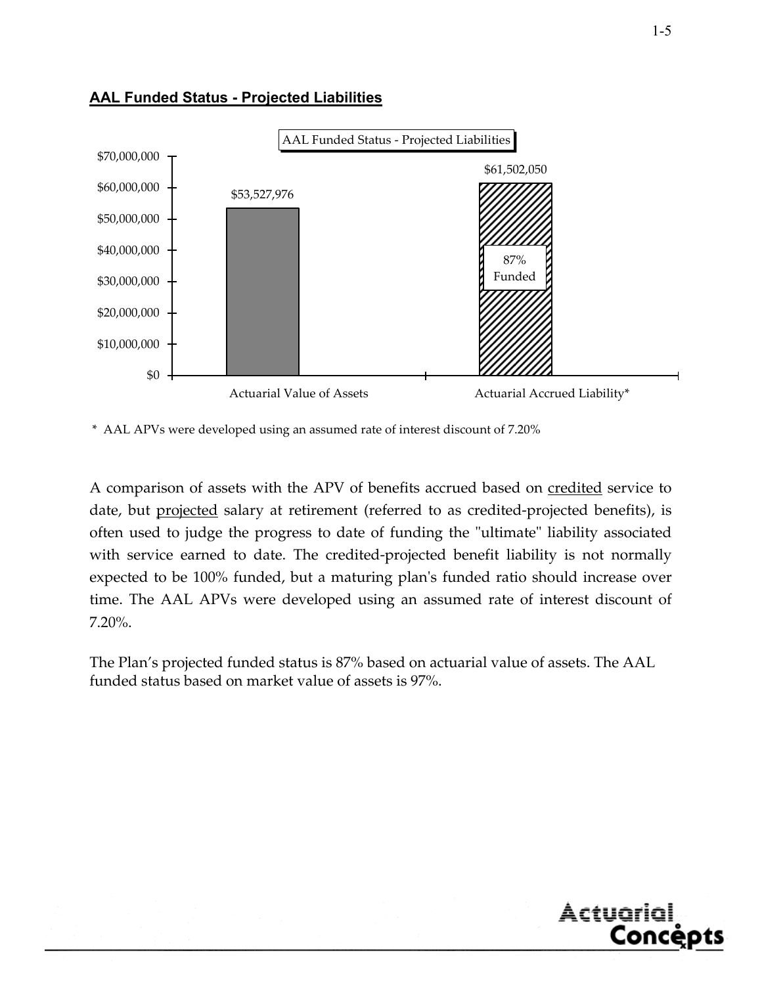

#### **AAL Funded Status - Projected Liabilities**

\* AAL APVs were developed using an assumed rate of interest discount of 7.20%

A comparison of assets with the APV of benefits accrued based on credited service to date, but projected salary at retirement (referred to as credited-projected benefits), is often used to judge the progress to date of funding the "ultimate" liability associated with service earned to date. The credited-projected benefit liability is not normally expected to be 100% funded, but a maturing plan's funded ratio should increase over time. The AAL APVs were developed using an assumed rate of interest discount of 7.20%.

The Plan's projected funded status is 87% based on actuarial value of assets. The AAL funded status based on market value of assets is 97%.

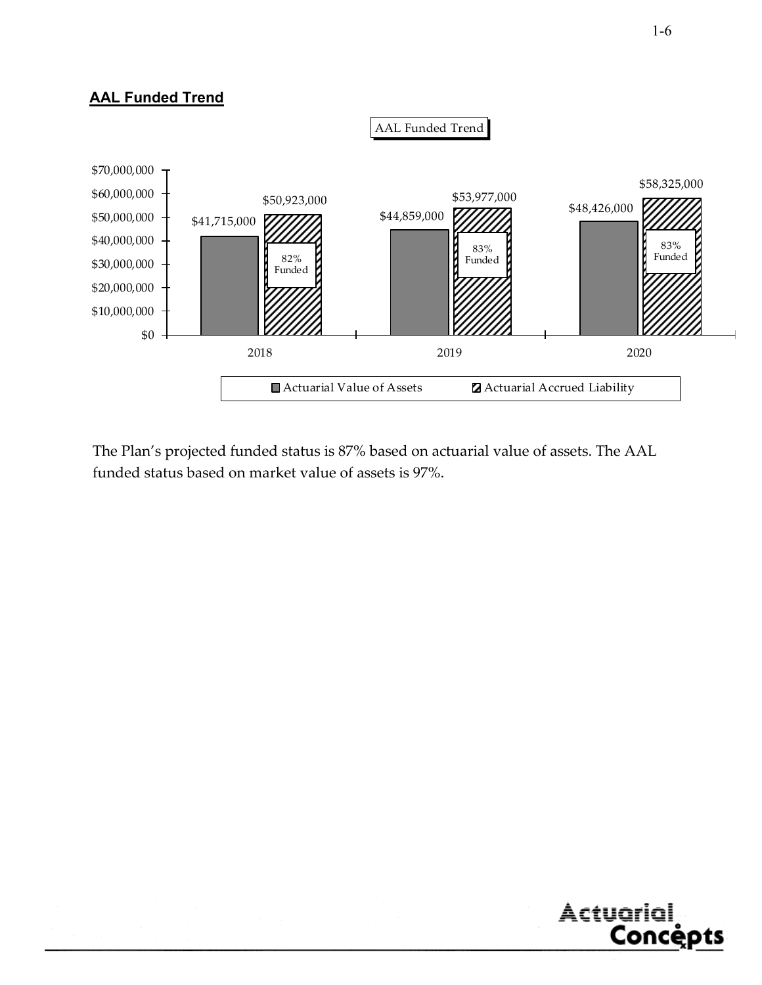# **AAL Funded Trend**



The Plan's projected funded status is 87% based on actuarial value of assets. The AAL funded status based on market value of assets is 97%.

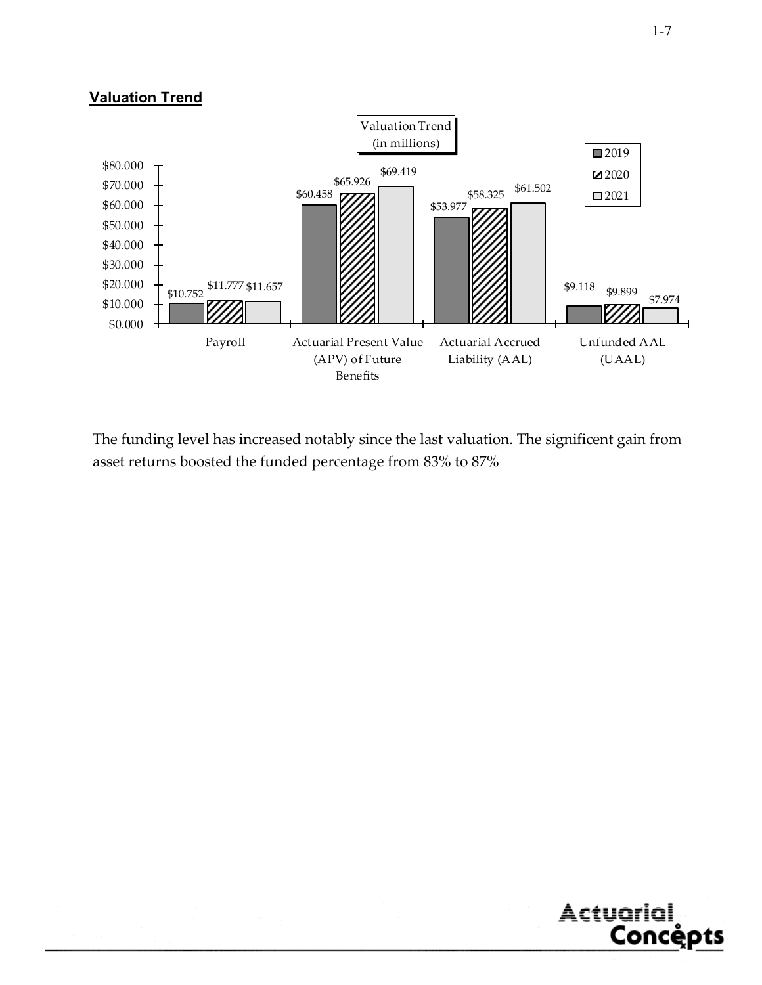# **Valuation Trend**



The funding level has increased notably since the last valuation. The significent gain from asset returns boosted the funded percentage from 83% to 87%

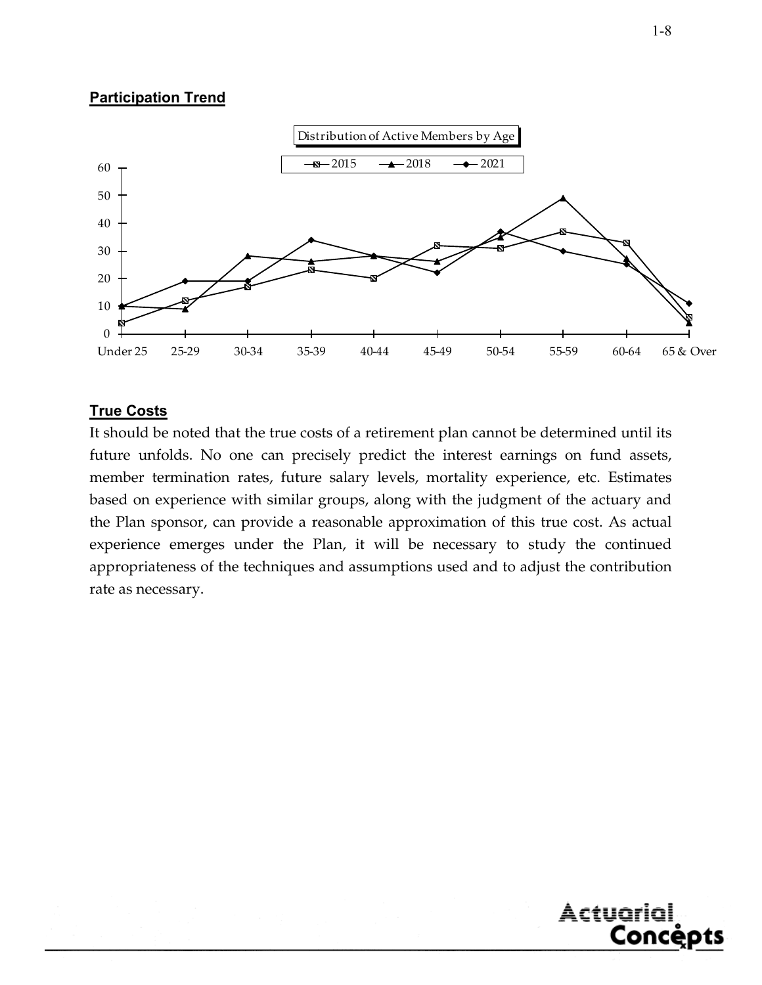# **Participation Trend**



# **True Costs**

It should be noted that the true costs of a retirement plan cannot be determined until its future unfolds. No one can precisely predict the interest earnings on fund assets, member termination rates, future salary levels, mortality experience, etc. Estimates based on experience with similar groups, along with the judgment of the actuary and the Plan sponsor, can provide a reasonable approximation of this true cost. As actual experience emerges under the Plan, it will be necessary to study the continued appropriateness of the techniques and assumptions used and to adjust the contribution rate as necessary.



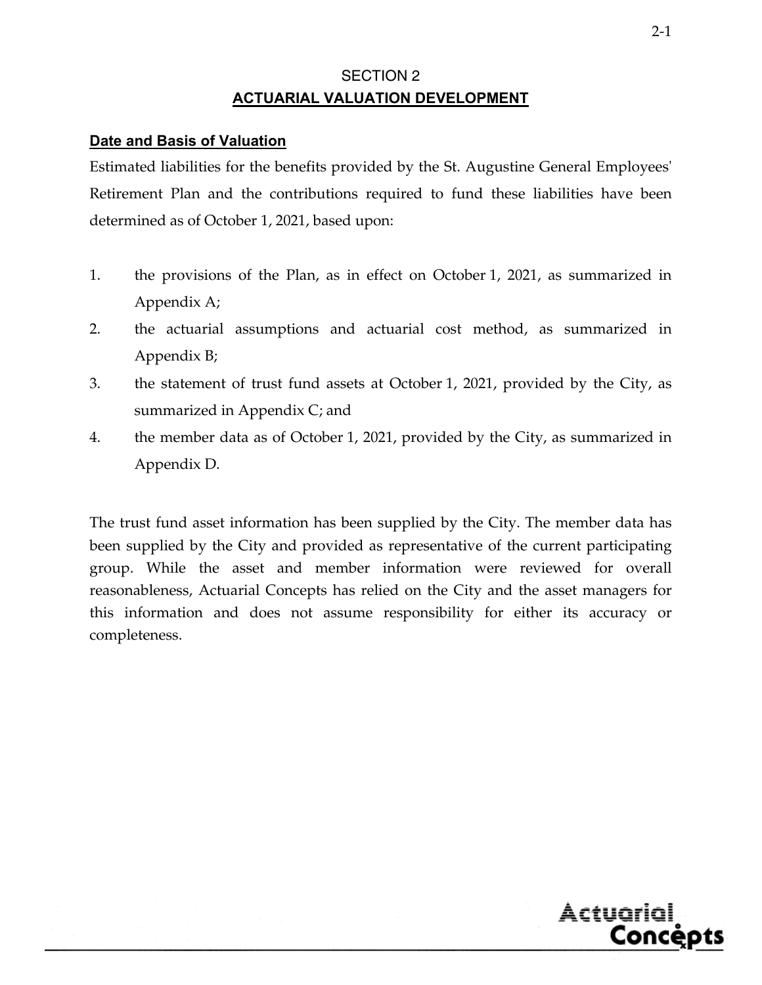# SECTION 2 **ACTUARIAL VALUATION DEVELOPMENT**

#### **Date and Basis of Valuation**

Estimated liabilities for the benefits provided by the St. Augustine General Employees' Retirement Plan and the contributions required to fund these liabilities have been determined as of October 1, 2021, based upon:

- 1. the provisions of the Plan, as in effect on October 1, 2021, as summarized in Appendix A;
- 2. the actuarial assumptions and actuarial cost method, as summarized in Appendix B;
- 3. the statement of trust fund assets at October 1, 2021, provided by the City, as summarized in Appendix C; and
- 4. the member data as of October 1, 2021, provided by the City, as summarized in Appendix D.

The trust fund asset information has been supplied by the City. The member data has been supplied by the City and provided as representative of the current participating group. While the asset and member information were reviewed for overall reasonableness, Actuarial Concepts has relied on the City and the asset managers for this information and does not assume responsibility for either its accuracy or completeness.

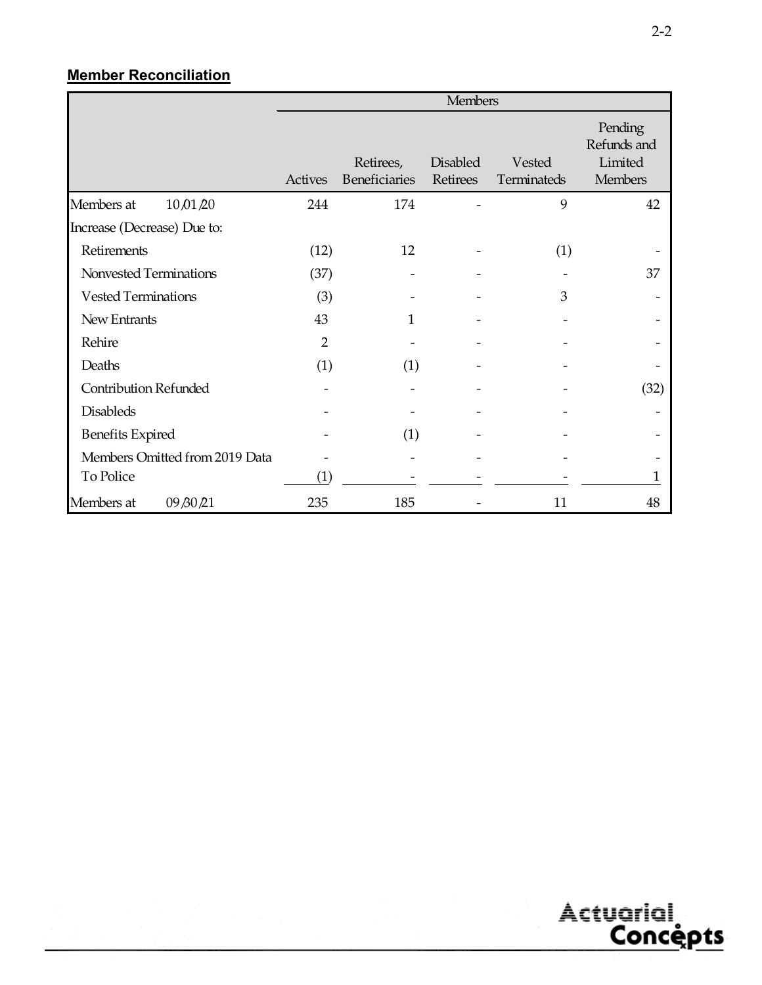# **Member Reconciliation**

|                                | <b>Members</b> |                            |                             |                       |                                                     |  |
|--------------------------------|----------------|----------------------------|-----------------------------|-----------------------|-----------------------------------------------------|--|
|                                | Actives        | Retirees,<br>Beneficiaries | <b>Disabled</b><br>Retirees | Vested<br>Terminateds | Pending<br>Refunds and<br>Limited<br><b>Members</b> |  |
| Members at<br>10/01/20         | 244            | 174                        |                             | 9                     | 42                                                  |  |
| Increase (Decrease) Due to:    |                |                            |                             |                       |                                                     |  |
| Retirements                    | (12)           | 12                         |                             | (1)                   |                                                     |  |
| Nonvested Terminations         | (37)           |                            |                             |                       | 37                                                  |  |
| <b>Vested Terminations</b>     | (3)            |                            |                             | 3                     |                                                     |  |
| New Entrants                   | 43             | 1                          |                             |                       |                                                     |  |
| Rehire                         | $\overline{2}$ |                            |                             |                       |                                                     |  |
| Deaths                         | (1)            | (1)                        |                             |                       |                                                     |  |
| <b>Contribution Refunded</b>   |                |                            |                             |                       | (32)                                                |  |
| <b>Disableds</b>               |                |                            |                             |                       |                                                     |  |
| <b>Benefits Expired</b>        |                | (1)                        |                             |                       |                                                     |  |
| Members Omitted from 2019 Data |                |                            |                             |                       |                                                     |  |
| To Police                      | (1)            |                            |                             |                       | 1                                                   |  |
| Members at<br>09 80 21         | 235            | 185                        |                             | 11                    | 48                                                  |  |

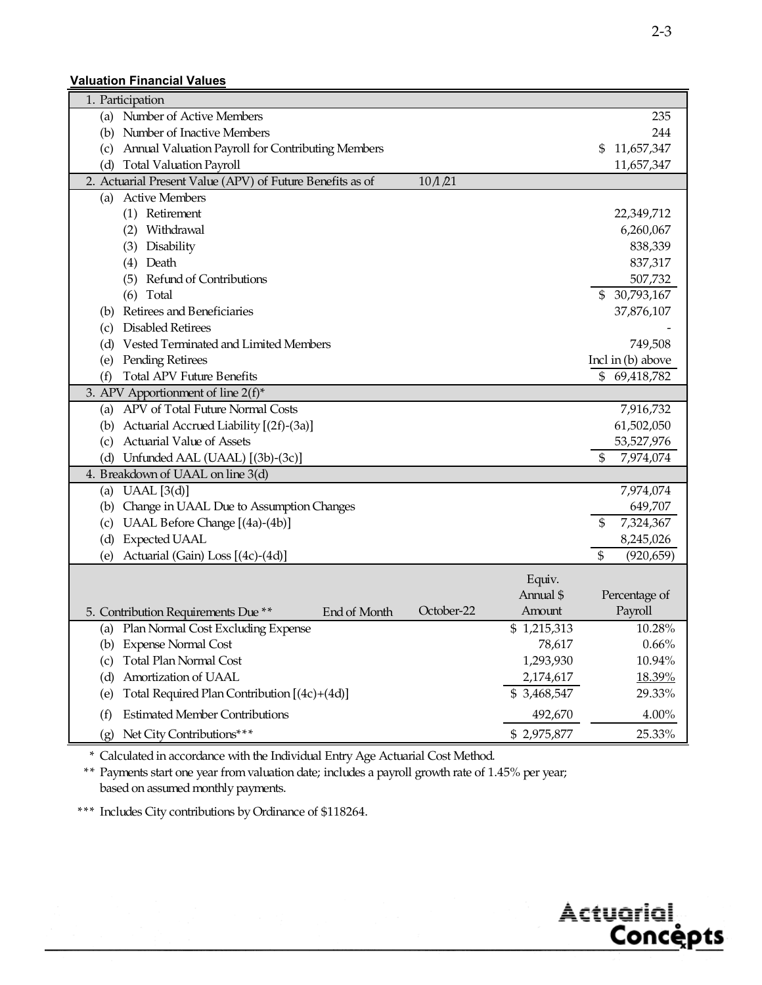#### **Valuation Financial Values**

| 1. Participation                                                     |                           |                     |
|----------------------------------------------------------------------|---------------------------|---------------------|
| (a) Number of Active Members                                         |                           | 235                 |
| Number of Inactive Members<br>(b)                                    |                           | 244                 |
| Annual Valuation Payroll for Contributing Members<br>(c)             |                           | 11,657,347<br>\$    |
| <b>Total Valuation Payroll</b><br>(d)                                |                           | 11,657,347          |
| 2. Actuarial Present Value (APV) of Future Benefits as of<br>10/1/21 |                           |                     |
| <b>Active Members</b><br>(a)                                         |                           |                     |
| (1) Retirement                                                       |                           | 22,349,712          |
| (2) Withdrawal                                                       |                           | 6,260,067           |
| (3) Disability                                                       |                           | 838,339             |
| (4) Death                                                            |                           | 837,317             |
| Refund of Contributions<br>(5)                                       |                           | 507,732             |
| Total<br>(6)                                                         |                           | 30,793,167<br>\$    |
| Retirees and Beneficiaries<br>(b)                                    |                           | 37,876,107          |
| <b>Disabled Retirees</b><br>(c)                                      |                           |                     |
| Vested Terminated and Limited Members<br>(d)                         |                           | 749,508             |
| Pending Retirees<br>(e)                                              |                           | Incl in $(b)$ above |
| <b>Total APV Future Benefits</b><br>(f)                              |                           | 69,418,782<br>\$    |
| 3. APV Apportionment of line $2(f)^*$                                |                           |                     |
| APV of Total Future Normal Costs<br>(a)                              |                           | 7,916,732           |
| Actuarial Accrued Liability [(2f)-(3a)]<br>(b)                       |                           | 61,502,050          |
| Actuarial Value of Assets<br>(c)                                     |                           | 53,527,976          |
| (d) Unfunded AAL (UAAL) [(3b)-(3c)]                                  |                           | \$<br>7,974,074     |
| 4. Breakdown of UAAL on line 3(d)                                    |                           |                     |
| (a) UAAL $[3(d)]$                                                    |                           | 7,974,074           |
| (b) Change in UAAL Due to Assumption Changes                         |                           | 649,707             |
| (c) UAAL Before Change [(4a)-(4b)]                                   |                           | \$<br>7,324,367     |
| <b>Expected UAAL</b><br>(d)                                          |                           | 8,245,026           |
| Actuarial (Gain) Loss [(4c)-(4d)]<br>(e)                             |                           | \$<br>(920, 659)    |
|                                                                      | Equiv.                    |                     |
|                                                                      | Annual \$                 | Percentage of       |
| October-22<br>5. Contribution Requirements Due **<br>End of Month    | Amount                    | Payroll             |
| (a) Plan Normal Cost Excluding Expense                               | \$1,215,313               | 10.28%              |
| (b) Expense Normal Cost                                              | 78,617                    | 0.66%               |
| <b>Total Plan Normal Cost</b><br>(c)                                 | 1,293,930                 | 10.94%              |
| Amortization of UAAL<br>(d)                                          | 2,174,617                 | 18.39%              |
| Total Required Plan Contribution [(4c)+(4d)]<br>(e)                  | $\overline{\$}$ 3,468,547 | 29.33%              |
| <b>Estimated Member Contributions</b><br>(f)                         | 492,670                   | 4.00%               |
| Net City Contributions***<br>(g)                                     | \$2,975,877               | 25.33%              |

\* Calculated in accordance with the Individual Entry Age Actuarial Cost Method.

\*\* Payments start one year from valuation date; includes a payroll growth rate of 1.45% per year; based on assumed monthly payments.

\*\*\* Includes City contributions by Ordinance of \$118264.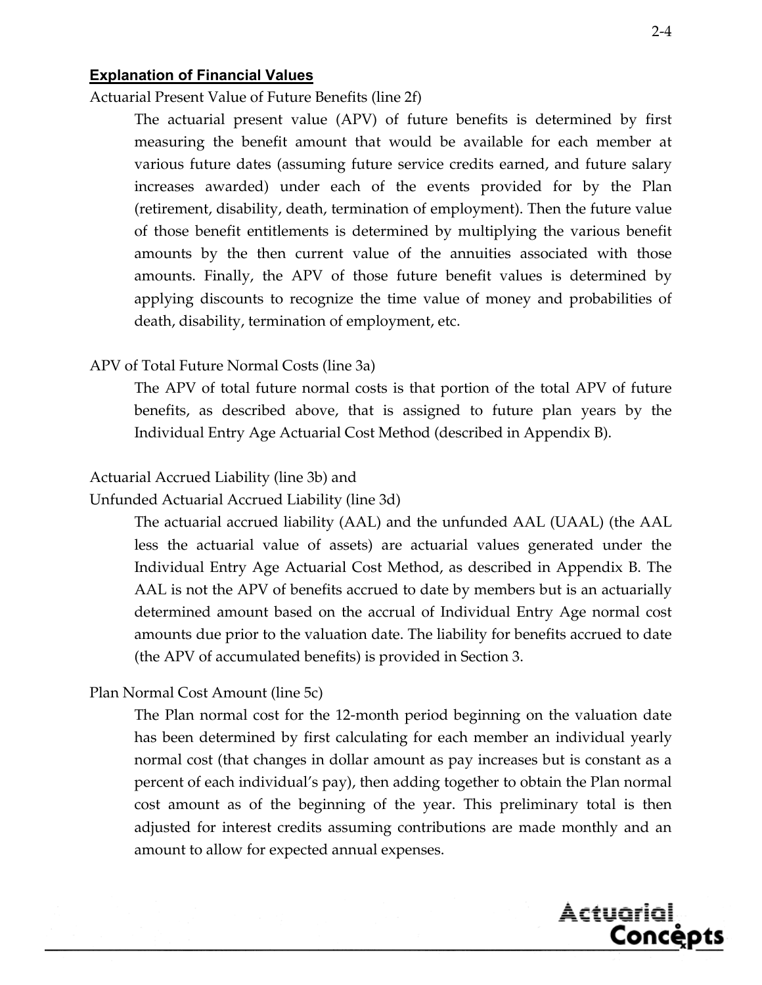#### **Explanation of Financial Values**

Actuarial Present Value of Future Benefits (line 2f)

 The actuarial present value (APV) of future benefits is determined by first measuring the benefit amount that would be available for each member at various future dates (assuming future service credits earned, and future salary increases awarded) under each of the events provided for by the Plan (retirement, disability, death, termination of employment). Then the future value of those benefit entitlements is determined by multiplying the various benefit amounts by the then current value of the annuities associated with those amounts. Finally, the APV of those future benefit values is determined by applying discounts to recognize the time value of money and probabilities of death, disability, termination of employment, etc.

#### APV of Total Future Normal Costs (line 3a)

 The APV of total future normal costs is that portion of the total APV of future benefits, as described above, that is assigned to future plan years by the Individual Entry Age Actuarial Cost Method (described in Appendix B).

#### Actuarial Accrued Liability (line 3b) and

Unfunded Actuarial Accrued Liability (line 3d)

 The actuarial accrued liability (AAL) and the unfunded AAL (UAAL) (the AAL less the actuarial value of assets) are actuarial values generated under the Individual Entry Age Actuarial Cost Method, as described in Appendix B. The AAL is not the APV of benefits accrued to date by members but is an actuarially determined amount based on the accrual of Individual Entry Age normal cost amounts due prior to the valuation date. The liability for benefits accrued to date (the APV of accumulated benefits) is provided in Section 3.

#### Plan Normal Cost Amount (line 5c)

 The Plan normal cost for the 12-month period beginning on the valuation date has been determined by first calculating for each member an individual yearly normal cost (that changes in dollar amount as pay increases but is constant as a percent of each individual's pay), then adding together to obtain the Plan normal cost amount as of the beginning of the year. This preliminary total is then adjusted for interest credits assuming contributions are made monthly and an amount to allow for expected annual expenses.

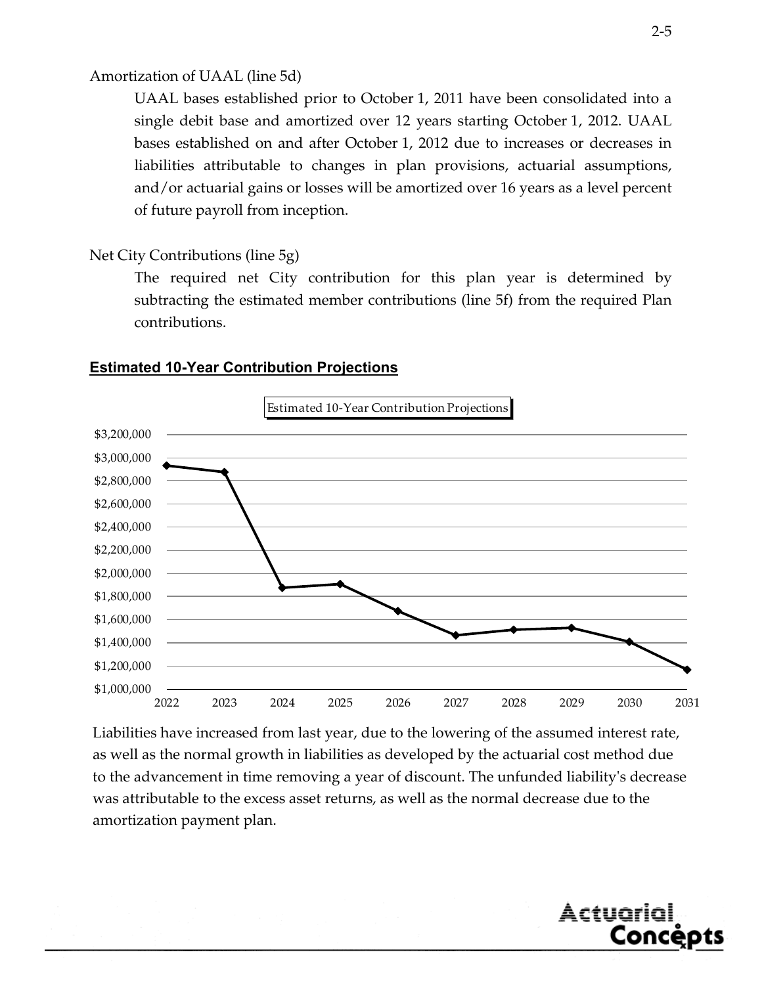#### Amortization of UAAL (line 5d)

 UAAL bases established prior to October 1, 2011 have been consolidated into a single debit base and amortized over 12 years starting October 1, 2012. UAAL bases established on and after October 1, 2012 due to increases or decreases in liabilities attributable to changes in plan provisions, actuarial assumptions, and/or actuarial gains or losses will be amortized over 16 years as a level percent of future payroll from inception.

#### Net City Contributions (line 5g)

 The required net City contribution for this plan year is determined by subtracting the estimated member contributions (line 5f) from the required Plan contributions.



#### **Estimated 10-Year Contribution Projections**

Liabilities have increased from last year, due to the lowering of the assumed interest rate, as well as the normal growth in liabilities as developed by the actuarial cost method due to the advancement in time removing a year of discount. The unfunded liabilityʹs decrease was attributable to the excess asset returns, as well as the normal decrease due to the amortization payment plan.

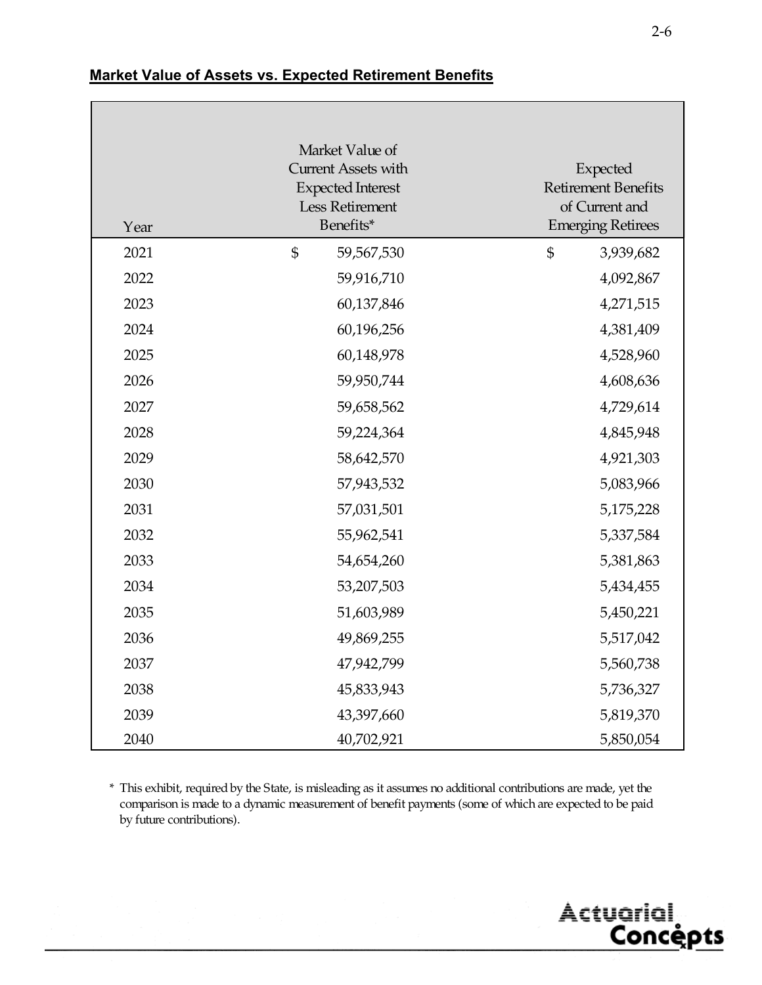| Year | Market Value of<br><b>Current Assets with</b><br><b>Expected Interest</b><br>Less Retirement<br>Benefits* | Expected<br><b>Retirement Benefits</b><br>of Current and<br><b>Emerging Retirees</b> |
|------|-----------------------------------------------------------------------------------------------------------|--------------------------------------------------------------------------------------|
| 2021 | $\mathfrak{S}$<br>59,567,530                                                                              | \$<br>3,939,682                                                                      |
| 2022 | 59,916,710                                                                                                | 4,092,867                                                                            |
| 2023 | 60,137,846                                                                                                | 4,271,515                                                                            |
| 2024 | 60,196,256                                                                                                | 4,381,409                                                                            |
| 2025 | 60,148,978                                                                                                | 4,528,960                                                                            |
| 2026 | 59,950,744                                                                                                | 4,608,636                                                                            |
| 2027 | 59,658,562                                                                                                | 4,729,614                                                                            |
| 2028 | 59,224,364                                                                                                | 4,845,948                                                                            |
| 2029 | 58,642,570                                                                                                | 4,921,303                                                                            |
| 2030 | 57,943,532                                                                                                | 5,083,966                                                                            |
| 2031 | 57,031,501                                                                                                | 5,175,228                                                                            |
| 2032 | 55,962,541                                                                                                | 5,337,584                                                                            |
| 2033 | 54,654,260                                                                                                | 5,381,863                                                                            |
| 2034 | 53,207,503                                                                                                | 5,434,455                                                                            |
| 2035 | 51,603,989                                                                                                | 5,450,221                                                                            |
| 2036 | 49,869,255                                                                                                | 5,517,042                                                                            |
| 2037 | 47,942,799                                                                                                | 5,560,738                                                                            |
| 2038 | 45,833,943                                                                                                | 5,736,327                                                                            |
| 2039 | 43,397,660                                                                                                | 5,819,370                                                                            |
| 2040 | 40,702,921                                                                                                | 5,850,054                                                                            |

# **Market Value of Assets vs. Expected Retirement Benefits**

\* This exhibit, required by the State, is misleading as it assumes no additional contributions are made, yet the comparison is made to a dynamic measurement of benefit payments (some of which are expected to be paid by future contributions).

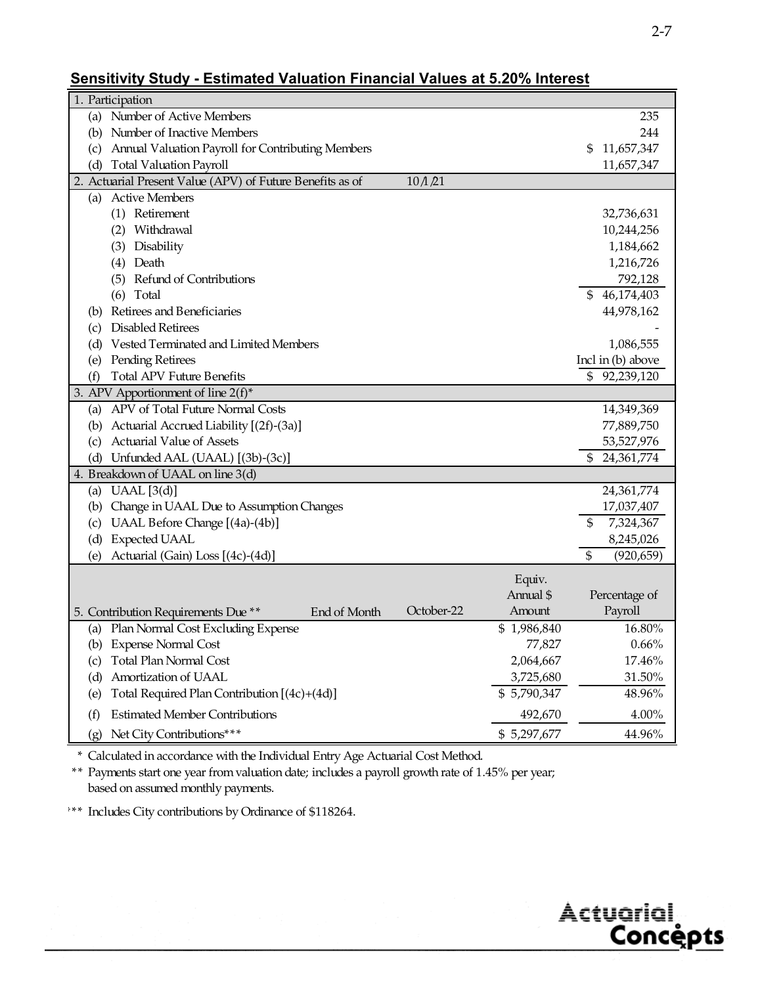# **Sensitivity Study - Estimated Valuation Financial Values at 5.20% Interest**

| 1. Participation                                                   |                            |
|--------------------------------------------------------------------|----------------------------|
| (a) Number of Active Members                                       | 235                        |
| Number of Inactive Members<br>(b)                                  | 244                        |
| Annual Valuation Payroll for Contributing Members<br>(c)           | 11,657,347<br>S.           |
| <b>Total Valuation Payroll</b><br>(d)                              | 11,657,347                 |
| 2. Actuarial Present Value (APV) of Future Benefits as of<br>10/21 |                            |
| <b>Active Members</b><br>(a)                                       |                            |
| (1) Retirement                                                     | 32,736,631                 |
| (2) Withdrawal                                                     | 10,244,256                 |
| Disability<br>(3)                                                  | 1,184,662                  |
| Death<br>(4)                                                       | 1,216,726                  |
| Refund of Contributions<br>(5)                                     | 792,128                    |
| (6)<br>Total                                                       | 46,174,403<br>S            |
| Retirees and Beneficiaries<br>(b)                                  | 44,978,162                 |
| <b>Disabled Retirees</b><br>(c)                                    |                            |
| Vested Terminated and Limited Members<br>(d)                       | 1,086,555                  |
| Pending Retirees<br>(e)                                            | Incl in $(b)$ above        |
| <b>Total APV Future Benefits</b><br>(f)                            | \$92,239,120               |
| 3. APV Apportionment of line $2(f)^*$                              |                            |
| APV of Total Future Normal Costs<br>(a)                            | 14,349,369                 |
| Actuarial Accrued Liability [(2f)-(3a)]<br>(b)                     | 77,889,750                 |
| Actuarial Value of Assets<br>(c)                                   | 53,527,976                 |
| Unfunded AAL (UAAL) [(3b)-(3c)]<br>(d)                             | 24,361,774<br>\$           |
| 4. Breakdown of UAAL on line 3(d)                                  |                            |
| (a) UAAL $[3(d)]$                                                  | 24,361,774                 |
| (b) Change in UAAL Due to Assumption Changes                       | 17,037,407                 |
| UAAL Before Change [(4a)-(4b)]<br>(c)                              | 7,324,367<br>S             |
| <b>Expected UAAL</b><br>(d)                                        | 8,245,026                  |
| Actuarial (Gain) Loss [(4c)-(4d)]<br>(e)                           | \$<br>(920, 659)           |
|                                                                    | Equiv.                     |
|                                                                    | Annual \$<br>Percentage of |
| October-22<br>End of Month<br>5. Contribution Requirements Due **  | Payroll<br>Amount          |
| (a) Plan Normal Cost Excluding Expense                             | \$1,986,840<br>16.80%      |
| (b) Expense Normal Cost                                            | 77,827<br>$0.66\%$         |
| <b>Total Plan Normal Cost</b><br>(c)                               | 17.46%<br>2,064,667        |
| Amortization of UAAL<br>(d)                                        | 3,725,680<br>$31.50\%$     |
| Total Required Plan Contribution [(4c)+(4d)]<br>(e)                | \$5,790,347<br>48.96%      |
| <b>Estimated Member Contributions</b><br>(f)                       | $4.00\%$<br>492,670        |
| Net City Contributions***<br>(g)                                   | \$5,297,677<br>44.96%      |
|                                                                    |                            |

\* Calculated in accordance with the Individual Entry Age Actuarial Cost Method.

\*\* Payments start one year from valuation date; includes a payroll growth rate of 1.45% per year; based on assumed monthly payments.

\*\*\* Includes City contributions by Ordinance of \$118264.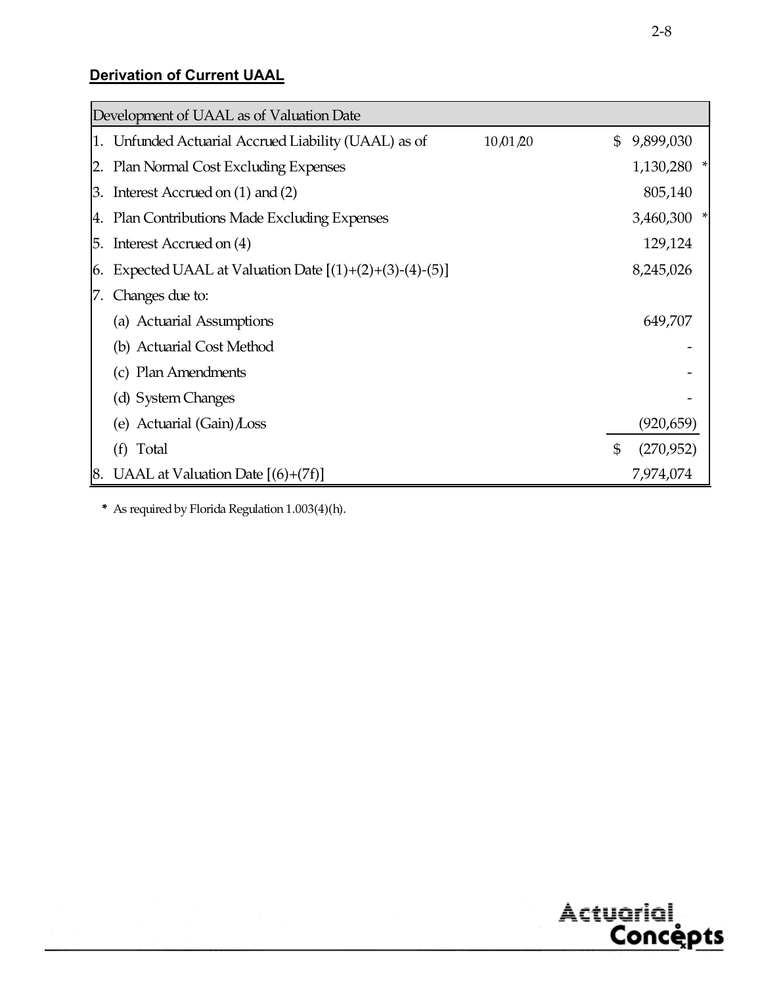# **Derivation of Current UAAL**

|    | Development of UAAL as of Valuation Date                         |                |            |
|----|------------------------------------------------------------------|----------------|------------|
|    | 1. Unfunded Actuarial Accrued Liability (UAAL) as of<br>10,01,20 | \$             | 9,899,030  |
|    | 2. Plan Normal Cost Excluding Expenses                           |                | 1,130,280  |
|    | 3. Interest Accrued on $(1)$ and $(2)$                           |                | 805,140    |
|    | 4. Plan Contributions Made Excluding Expenses                    |                | 3,460,300  |
| 5. | Interest Accrued on (4)                                          |                | 129,124    |
| 6. | Expected UAAL at Valuation Date $[(1)+(2)+(3)-(4)-(5)]$          |                | 8,245,026  |
|    | Changes due to:                                                  |                |            |
|    | (a) Actuarial Assumptions                                        |                | 649,707    |
|    | (b) Actuarial Cost Method                                        |                |            |
|    | (c) Plan Amendments                                              |                |            |
|    | (d) System Changes                                               |                |            |
|    | (e) Actuarial $(Gain)$ Loss                                      |                | (920, 659) |
|    | (f)<br>Total                                                     | $\mathfrak{s}$ | (270,952)  |
| 8. | UAAL at Valuation Date $[(6)+(7f)]$                              |                | 7,974,074  |

\* As required by Florida Regulation 1.003(4)(h).

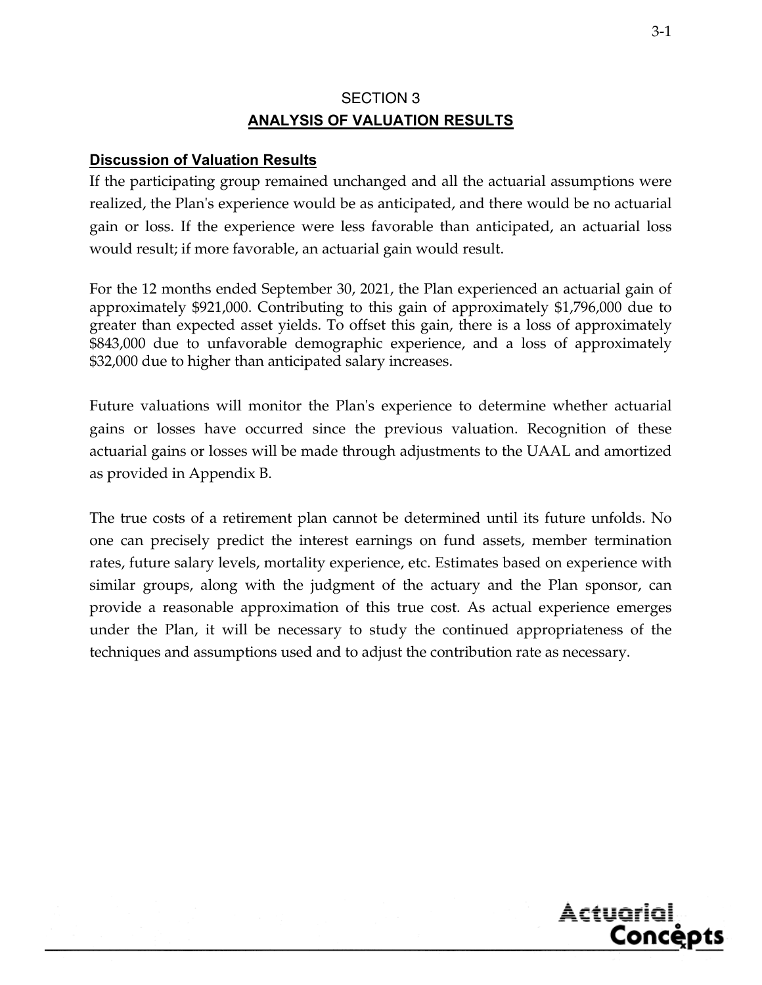# SECTION 3 **ANALYSIS OF VALUATION RESULTS**

# **Discussion of Valuation Results**

If the participating group remained unchanged and all the actuarial assumptions were realized, the Plan's experience would be as anticipated, and there would be no actuarial gain or loss. If the experience were less favorable than anticipated, an actuarial loss would result; if more favorable, an actuarial gain would result.

For the 12 months ended September 30, 2021, the Plan experienced an actuarial gain of approximately \$921,000. Contributing to this gain of approximately \$1,796,000 due to greater than expected asset yields. To offset this gain, there is a loss of approximately \$843,000 due to unfavorable demographic experience, and a loss of approximately \$32,000 due to higher than anticipated salary increases.

Future valuations will monitor the Plan's experience to determine whether actuarial gains or losses have occurred since the previous valuation. Recognition of these actuarial gains or losses will be made through adjustments to the UAAL and amortized as provided in Appendix B.

The true costs of a retirement plan cannot be determined until its future unfolds. No one can precisely predict the interest earnings on fund assets, member termination rates, future salary levels, mortality experience, etc. Estimates based on experience with similar groups, along with the judgment of the actuary and the Plan sponsor, can provide a reasonable approximation of this true cost. As actual experience emerges under the Plan, it will be necessary to study the continued appropriateness of the techniques and assumptions used and to adjust the contribution rate as necessary.

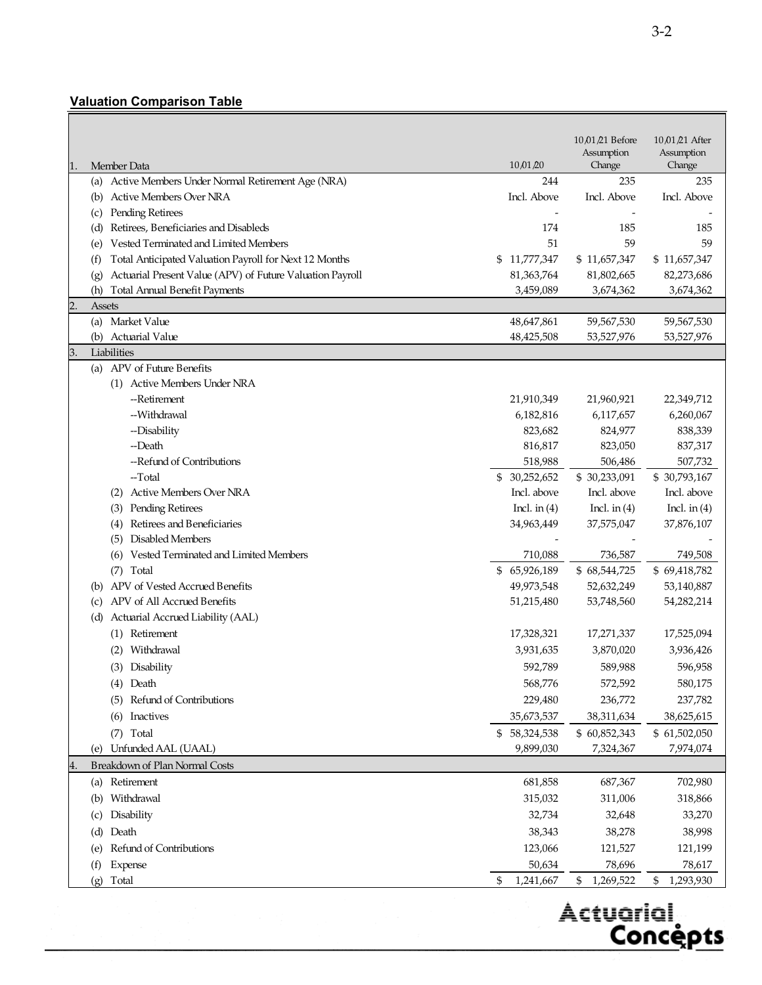# **Valuation Comparison Table**

|                                                                                       |                 | 10,01,21 Before<br>Assumption | 10,01,21 After<br>Assumption |
|---------------------------------------------------------------------------------------|-----------------|-------------------------------|------------------------------|
| Member Data<br>1.                                                                     | 10/01/20        | Change                        | Change                       |
| Active Members Under Normal Retirement Age (NRA)<br>(a)                               | 244             | 235                           | 235                          |
| <b>Active Members Over NRA</b><br>(b)                                                 | Incl. Above     | Incl. Above                   | Incl. Above                  |
| Pending Retirees<br>(c)                                                               |                 |                               |                              |
| Retirees, Beneficiaries and Disableds<br>(d)<br>Vested Terminated and Limited Members | 174<br>51       | 185<br>59                     | 185<br>59                    |
| (e)<br>Total Anticipated Valuation Payroll for Next 12 Months                         | \$11,777,347    | \$11,657,347                  | \$11,657,347                 |
| (f)<br>Actuarial Present Value (APV) of Future Valuation Payroll<br>(g)               | 81,363,764      | 81,802,665                    | 82,273,686                   |
| <b>Total Annual Benefit Payments</b><br>(h)                                           | 3,459,089       | 3,674,362                     | 3,674,362                    |
| $\overline{2}$<br>Assets                                                              |                 |                               |                              |
| (a) Market Value                                                                      | 48,647,861      | 59,567,530                    | 59,567,530                   |
| <b>Actuarial Value</b><br>(b)                                                         | 48,425,508      | 53,527,976                    | 53,527,976                   |
| Liabilities<br>3.                                                                     |                 |                               |                              |
| (a) APV of Future Benefits                                                            |                 |                               |                              |
| (1) Active Members Under NRA                                                          |                 |                               |                              |
| --Retirement                                                                          | 21,910,349      | 21,960,921                    | 22,349,712                   |
| --Withdrawal                                                                          | 6,182,816       | 6,117,657                     | 6,260,067                    |
| --Disability                                                                          | 823,682         | 824,977                       | 838,339                      |
| --Death                                                                               | 816,817         | 823,050                       | 837,317                      |
| --Refund of Contributions                                                             | 518,988         | 506,486                       | 507,732                      |
| --Total                                                                               | \$30,252,652    | \$30,233,091                  | \$30,793,167                 |
| (2) Active Members Over NRA                                                           | Incl. above     | Incl. above                   | Incl. above                  |
| <b>Pending Retirees</b><br>(3)<br>Retirees and Beneficiaries                          | Incl. in $(4)$  | Incl. in $(4)$                | Incl. in $(4)$<br>37,876,107 |
| (4)<br>Disabled Members<br>(5)                                                        | 34,963,449      | 37,575,047                    |                              |
| Vested Terminated and Limited Members<br>(6)                                          | 710,088         | 736,587                       | 749,508                      |
| Total<br>(7)                                                                          | \$65,926,189    | \$68,544,725                  | \$69,418,782                 |
| APV of Vested Accrued Benefits<br>(b)                                                 | 49,973,548      | 52,632,249                    | 53,140,887                   |
| APV of All Accrued Benefits<br>(c)                                                    | 51,215,480      | 53,748,560                    | 54,282,214                   |
| Actuarial Accrued Liability (AAL)<br>(d)                                              |                 |                               |                              |
| (1) Retirement                                                                        | 17,328,321      | 17,271,337                    | 17,525,094                   |
| Withdrawal                                                                            | 3,931,635       | 3,870,020                     | 3,936,426                    |
| Disability<br>(3)                                                                     | 592,789         | 589,988                       | 596,958                      |
| (4) Death                                                                             | 568,776         | 572,592                       | 580,175                      |
| Refund of Contributions<br>(5)                                                        | 229,480         | 236,772                       | 237,782                      |
| Inactives<br>(6)                                                                      | 35,673,537      | 38,311,634                    | 38,625,615                   |
| Total<br>(7)                                                                          | \$58,324,538    | \$60,852,343                  | \$61,502,050                 |
| Unfunded AAL (UAAL)<br>(e)                                                            | 9,899,030       | 7,324,367                     | 7,974,074                    |
| Breakdown of Plan Normal Costs<br>4.                                                  |                 |                               |                              |
| Retirement<br>(a)                                                                     | 681,858         | 687,367                       | 702,980                      |
| Withdrawal<br>(b)                                                                     | 315,032         | 311,006                       | 318,866                      |
| Disability<br>(c)                                                                     | 32,734          | 32,648                        | 33,270                       |
| Death<br>(d)                                                                          | 38,343          | 38,278                        | 38,998                       |
| Refund of Contributions<br>(e)                                                        | 123,066         | 121,527                       | 121,199                      |
| (f)<br><b>Expense</b>                                                                 | 50,634          | 78,696                        | 78,617                       |
| Total<br>(g)                                                                          | 1,241,667<br>\$ | \$<br>1,269,522               | 1,293,930<br>\$              |

Actuarial, <u>Concepts</u>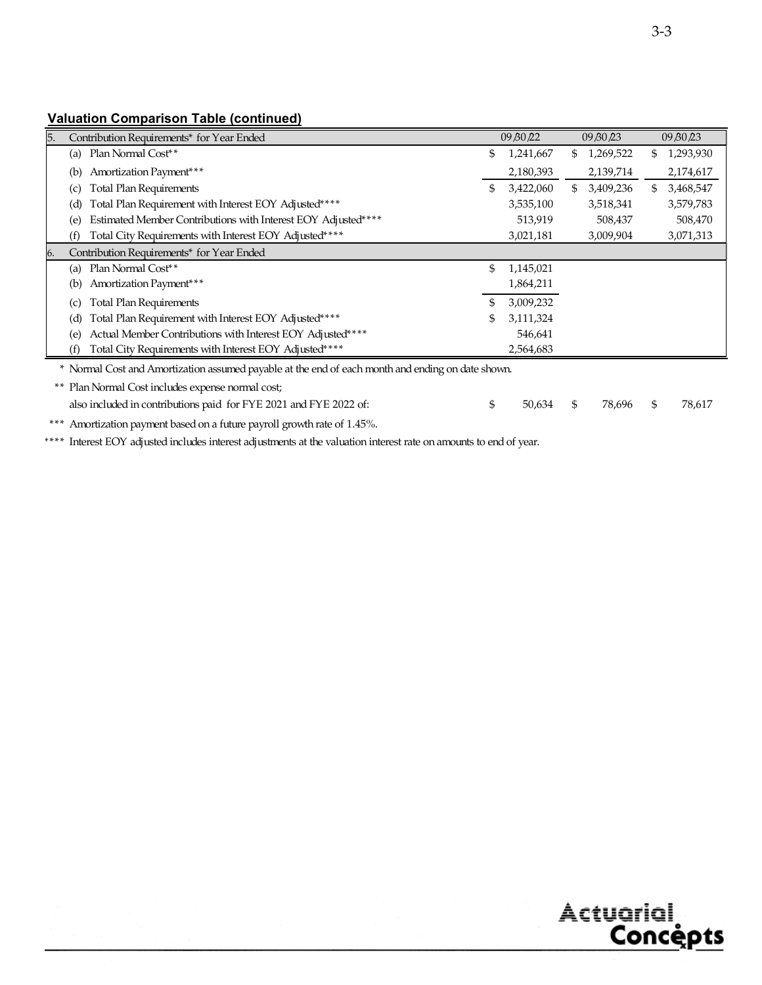# **Valuation Comparison Table (continued)**

| 5.  | Contribution Requirements* for Year Ended                                                         |    | 09 80 22  |     | 09 BO 23  |    | 09/30/23  |
|-----|---------------------------------------------------------------------------------------------------|----|-----------|-----|-----------|----|-----------|
|     | (a) Plan Normal Cost <sup>**</sup>                                                                | \$ | 1,241,667 | SS. | 1,269,522 | S. | 1,293,930 |
| (b) | Amortization Payment***                                                                           |    | 2,180,393 |     | 2,139,714 |    | 2,174,617 |
| (c) | <b>Total Plan Requirements</b>                                                                    | \$ | 3,422,060 | SS. | 3,409,236 | S. | 3,468,547 |
| (d) | Total Plan Requirement with Interest EOY Adjusted****                                             |    | 3,535,100 |     | 3,518,341 |    | 3,579,783 |
| (e) | Estimated Member Contributions with Interest EOY Adjusted****                                     |    | 513,919   |     | 508,437   |    | 508,470   |
| (f) | Total City Requirements with Interest EOY Adjusted****                                            |    | 3,021,181 |     | 3,009,904 |    | 3,071,313 |
| 6.  | Contribution Requirements* for Year Ended                                                         |    |           |     |           |    |           |
| (a) | Plan Normal Cost <sup>**</sup>                                                                    | \$ | 1,145,021 |     |           |    |           |
| (b) | Amortization Payment <sup>***</sup>                                                               |    | 1,864,211 |     |           |    |           |
| (c) | <b>Total Plan Requirements</b>                                                                    |    | 3,009,232 |     |           |    |           |
| (d) | Total Plan Requirement with Interest EOY Adjusted****                                             | S. | 3,111,324 |     |           |    |           |
| (e) | Actual Member Contributions with Interest EOY Adjusted****                                        |    | 546,641   |     |           |    |           |
| (f) | Total City Requirements with Interest EOY Adjusted****                                            |    | 2,564,683 |     |           |    |           |
|     | * Normal Cost and Amortization assumed payable at the end of each month and ending on date shown. |    |           |     |           |    |           |

\*\* Plan Normal Cost includes expense normal cost; also included in contributions paid for FYE 2021 and FYE 2022 of:  $$50,634 $78,696 $78,617$ 

\*\*\* Amortization payment based on a future payroll growth rate of 1.45%.

\*\*\*\* Interest EOY adjusted includes interest adjustments at the valuation interest rate on amounts to end of year.

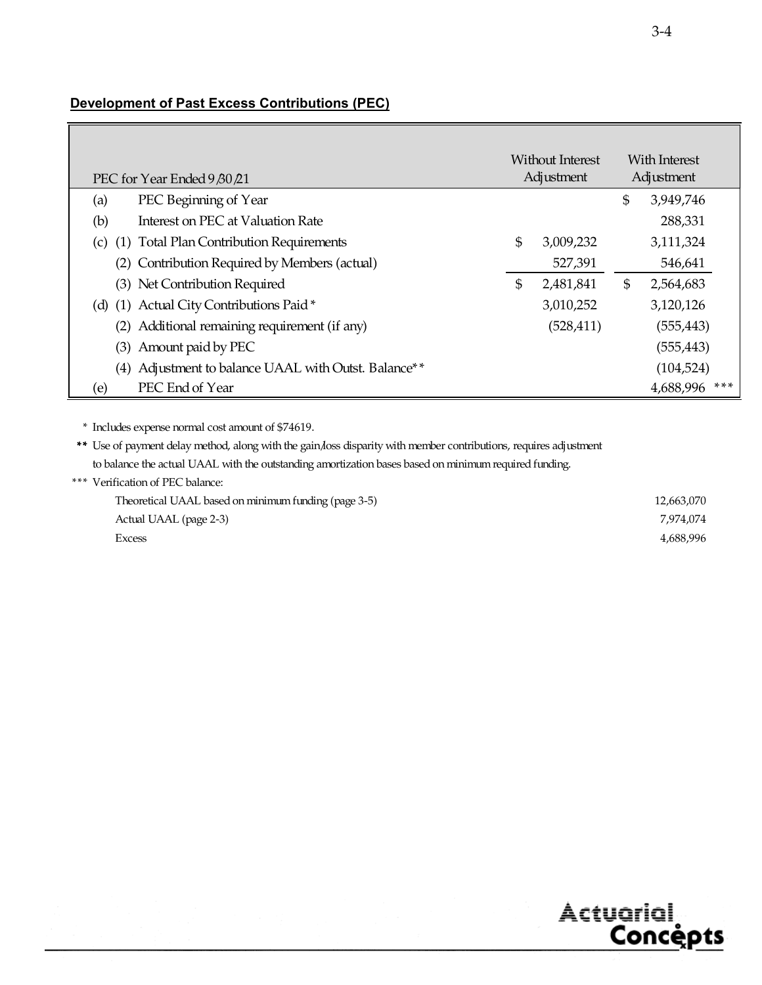# **Development of Past Excess Contributions (PEC)**

| Without Interest<br>Adjustment<br>PEC for Year Ended 9 80 21 |    | With Interest<br>Adjustment |               |               |
|--------------------------------------------------------------|----|-----------------------------|---------------|---------------|
| PEC Beginning of Year<br>(a)                                 |    |                             | \$            | 3,949,746     |
| (b)<br>Interest on PEC at Valuation Rate                     |    |                             |               | 288,331       |
| (1) Total Plan Contribution Requirements<br>(c)              | \$ | 3,009,232                   |               | 3,111,324     |
| (2) Contribution Required by Members (actual)                |    | 527,391                     |               | 546,641       |
| (3) Net Contribution Required                                | \$ | 2,481,841                   | $\mathfrak s$ | 2,564,683     |
| (d) (1) Actual City Contributions Paid*                      |    | 3,010,252                   |               | 3,120,126     |
| (2) Additional remaining requirement (if any)                |    | (528, 411)                  |               | (555, 443)    |
| (3) Amount paid by PEC                                       |    |                             |               | (555, 443)    |
| (4) Adjustment to balance UAAL with Outst. Balance**         |    |                             |               | (104, 524)    |
| PEC End of Year<br>(e)                                       |    |                             |               | 4,688,996 *** |

\* Includes expense normal cost amount of \$74619.

\*\* Use of payment delay method, along with the gain/loss disparity with member contributions, requires adjustment to balance the actual UAAL with the outstanding amortization bases based on minimum required funding.

\*\*\* Verification of PEC balance:

| Theoretical UAAL based on minimum funding (page 3-5) | 12,663,070 |
|------------------------------------------------------|------------|
| Actual UAAL (page 2-3)                               | 7,974,074  |
| Excess                                               | 4.688.996  |

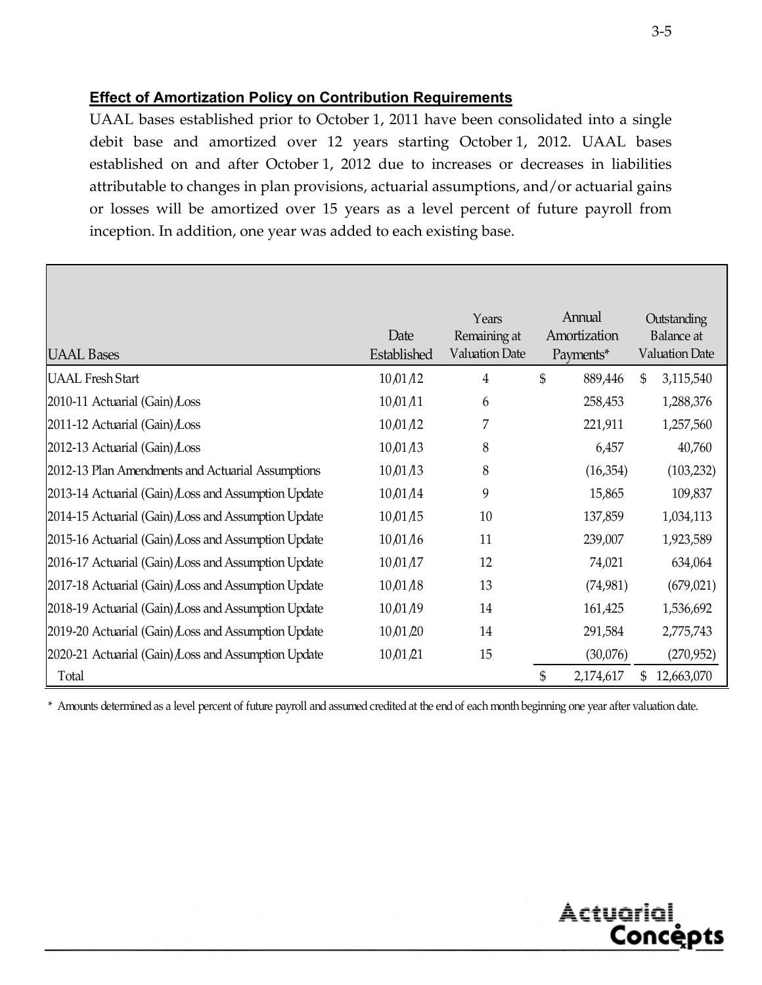# **Effect of Amortization Policy on Contribution Requirements**

UAAL bases established prior to October 1, 2011 have been consolidated into a single debit base and amortized over 12 years starting October 1, 2012. UAAL bases established on and after October 1, 2012 due to increases or decreases in liabilities attributable to changes in plan provisions, actuarial assumptions, and/or actuarial gains or losses will be amortized over 15 years as a level percent of future payroll from inception. In addition, one year was added to each existing base.

| <b>UAAL Bases</b>                                   | Date<br>Established | Years<br>Remaining at<br><b>Valuation Date</b> | Annual<br>Amortization<br>Payments* | Outstanding<br>Balance at<br><b>Valuation Date</b> |
|-----------------------------------------------------|---------------------|------------------------------------------------|-------------------------------------|----------------------------------------------------|
| <b>UAAL Fresh Start</b>                             | 10,01/12            | 4                                              | \$<br>889,446                       | \$<br>3,115,540                                    |
| 2010-11 Actuarial (Gain) Loss                       | 10,01,11            | 6                                              | 258,453                             | 1,288,376                                          |
| 2011-12 Actuarial (Gain) Loss                       | 10,01/12            | 7                                              | 221,911                             | 1,257,560                                          |
| 2012-13 Actuarial (Gain) Loss                       | 10,01/13            | 8                                              | 6,457                               | 40,760                                             |
| 2012-13 Plan Amendments and Actuarial Assumptions   | 10,01/13            | 8                                              | (16,354)                            | (103, 232)                                         |
| 2013-14 Actuarial (Gain) Loss and Assumption Update | 10,01/14            | 9                                              | 15,865                              | 109,837                                            |
| 2014-15 Actuarial (Gain) Loss and Assumption Update | 10,01/15            | 10                                             | 137,859                             | 1,034,113                                          |
| 2015-16 Actuarial (Gain) Loss and Assumption Update | 10,01/16            | 11                                             | 239,007                             | 1,923,589                                          |
| 2016-17 Actuarial (Gain) Loss and Assumption Update | 10,01/17            | 12                                             | 74,021                              | 634,064                                            |
| 2017-18 Actuarial (Gain) Loss and Assumption Update | 10,01/18            | 13                                             | (74,981)                            | (679, 021)                                         |
| 2018-19 Actuarial (Gain) Loss and Assumption Update | 10,01/19            | 14                                             | 161,425                             | 1,536,692                                          |
| 2019-20 Actuarial (Gain) Loss and Assumption Update | 10,01,20            | 14                                             | 291,584                             | 2,775,743                                          |
| 2020-21 Actuarial (Gain) Loss and Assumption Update | 10,01,21            | 15                                             | (30,076)                            | (270,952)                                          |
| Total                                               |                     |                                                | \$<br>2,174,617                     | \$<br>12,663,070                                   |

\* Amounts determined as a level percent of future payroll and assumed credited at the end of each month beginning one year after valuation date.



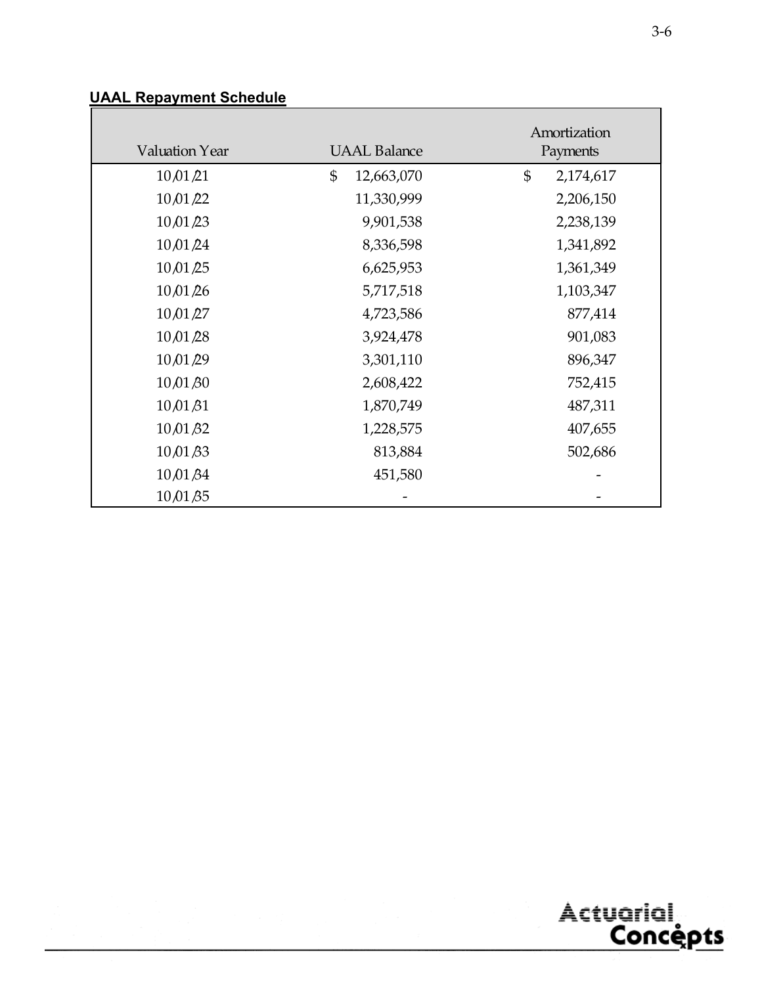| <b>UAAL Repayment Schedule</b> |  |
|--------------------------------|--|
|--------------------------------|--|

| Valuation Year      | <b>UAAL Balance</b> | Amortization<br>Payments |
|---------------------|---------------------|--------------------------|
| 10,01/21            | \$<br>12,663,070    | \$<br>2,174,617          |
| 10,01/22            | 11,330,999          | 2,206,150                |
| 10/01/23            | 9,901,538           | 2,238,139                |
| 10,01/24            | 8,336,598           | 1,341,892                |
| 10/01/25            | 6,625,953           | 1,361,349                |
| 10,01,26            | 5,717,518           | 1,103,347                |
| $10\sqrt{01/27}$    | 4,723,586           | 877,414                  |
| 10,01/28            | 3,924,478           | 901,083                  |
| 10,01/29            | 3,301,110           | 896,347                  |
| $10\sqrt{01\beta0}$ | 2,608,422           | 752,415                  |
| 10,01,81            | 1,870,749           | 487,311                  |
| $10\sqrt{01\beta2}$ | 1,228,575           | 407,655                  |
| 10/01/33            | 813,884             | 502,686                  |
| $10\sqrt{01\beta4}$ | 451,580             |                          |
| $10\sqrt{01\beta5}$ |                     |                          |



٦

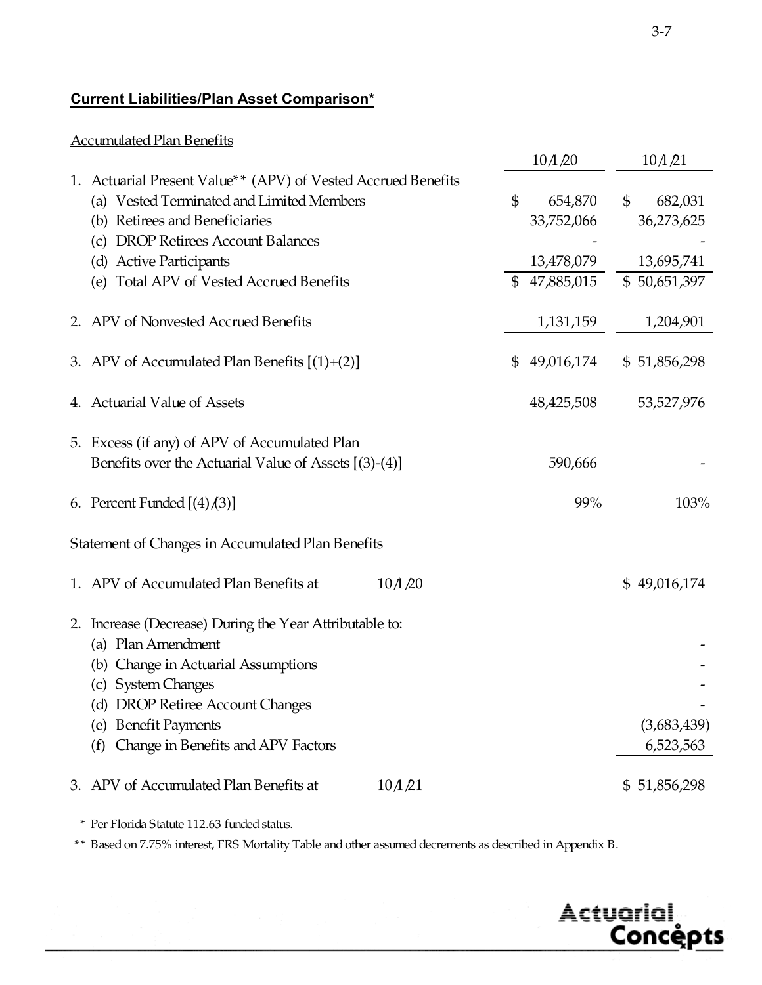# **Current Liabilities/Plan Asset Comparison\***

# Accumulated Plan Benefits

|                                                                                                                                                                                                                                                           |                    | $10$ $\Lambda$ $\Omega$                           |                | $10$ $\Lambda$ $\beta$ $1$                          |
|-----------------------------------------------------------------------------------------------------------------------------------------------------------------------------------------------------------------------------------------------------------|--------------------|---------------------------------------------------|----------------|-----------------------------------------------------|
| 1. Actuarial Present Value** (APV) of Vested Accrued Benefits<br>(a) Vested Terminated and Limited Members<br>(b) Retirees and Beneficiaries<br>(c) DROP Retirees Account Balances<br>(d) Active Participants<br>(e) Total APV of Vested Accrued Benefits | \$<br>$\mathbb{S}$ | 654,870<br>33,752,066<br>13,478,079<br>47,885,015 | $\mathfrak{S}$ | 682,031<br>36,273,625<br>13,695,741<br>\$50,651,397 |
| 2. APV of Nonvested Accrued Benefits                                                                                                                                                                                                                      |                    | 1,131,159                                         |                | 1,204,901                                           |
| 3. APV of Accumulated Plan Benefits $[(1)+(2)]$                                                                                                                                                                                                           | \$                 | 49,016,174                                        |                | \$51,856,298                                        |
| 4. Actuarial Value of Assets                                                                                                                                                                                                                              |                    | 48,425,508                                        |                | 53,527,976                                          |
| 5. Excess (if any) of APV of Accumulated Plan<br>Benefits over the Actuarial Value of Assets [(3)-(4)]                                                                                                                                                    |                    | 590,666                                           |                |                                                     |
| 6. Percent Funded $[(4)(3)]$                                                                                                                                                                                                                              |                    | 99%                                               |                | 103%                                                |
| <b>Statement of Changes in Accumulated Plan Benefits</b>                                                                                                                                                                                                  |                    |                                                   |                |                                                     |
| 1. APV of Accumulated Plan Benefits at<br>$10$ $\Lambda$ $\beta$ 0                                                                                                                                                                                        |                    |                                                   |                | \$49,016,174                                        |
| 2. Increase (Decrease) During the Year Attributable to:<br>(a) Plan Amendment<br>(b) Change in Actuarial Assumptions<br>(c) System Changes<br>(d) DROP Retiree Account Changes<br>(e) Benefit Payments<br>(f) Change in Benefits and APV Factors          |                    |                                                   |                | (3,683,439)<br>6,523,563                            |
| 3. APV of Accumulated Plan Benefits at<br>$10$ $\Lambda$ $\lambda$ 21                                                                                                                                                                                     |                    |                                                   |                | \$51,856,298                                        |

\* Per Florida Statute 112.63 funded status.

\*\* Based on 7.75% interest, FRS Mortality Table and other assumed decrements as described in Appendix B.

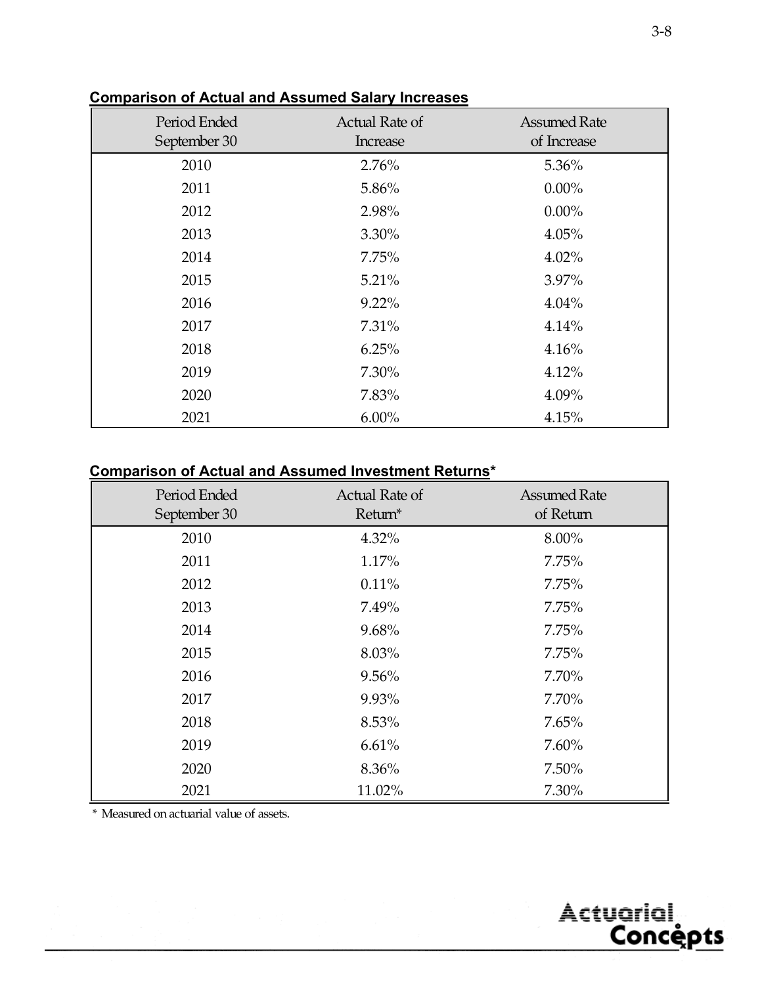| Period Ended<br>September 30 | Actual Rate of<br>Increase | <b>Assumed Rate</b><br>of Increase |
|------------------------------|----------------------------|------------------------------------|
| 2010                         | 2.76%                      | 5.36%                              |
| 2011                         | 5.86%                      | $0.00\%$                           |
| 2012                         | 2.98%                      | $0.00\%$                           |
| 2013                         | $3.30\%$                   | 4.05%                              |
| 2014                         | 7.75%                      | $4.02\%$                           |
| 2015                         | 5.21%                      | 3.97%                              |
| 2016                         | $9.22\%$                   | 4.04%                              |
| 2017                         | 7.31%                      | 4.14%                              |
| 2018                         | 6.25%                      | 4.16%                              |
| 2019                         | 7.30%                      | 4.12%                              |
| 2020                         | 7.83%                      | 4.09%                              |
| 2021                         | $6.00\%$                   | 4.15%                              |

# **Comparison of Actual and Assumed Salary Increases**

# **Comparison of Actual and Assumed Investment Returns\***

| Period Ended<br>September 30 | Actual Rate of<br>Return* | <b>Assumed Rate</b><br>of Return |
|------------------------------|---------------------------|----------------------------------|
| 2010                         | 4.32%                     | 8.00%                            |
| 2011                         | 1.17%                     | 7.75%                            |
| 2012                         | 0.11%                     | 7.75%                            |
| 2013                         | 7.49%                     | 7.75%                            |
| 2014                         | 9.68%                     | 7.75%                            |
| 2015                         | 8.03%                     | 7.75%                            |
| 2016                         | 9.56%                     | 7.70%                            |
| 2017                         | 9.93%                     | 7.70%                            |
| 2018                         | 8.53%                     | 7.65%                            |
| 2019                         | 6.61%                     | 7.60%                            |
| 2020                         | 8.36%                     | 7.50%                            |
| 2021                         | 11.02%                    | 7.30%                            |

\* Measured on actuarial value of assets.

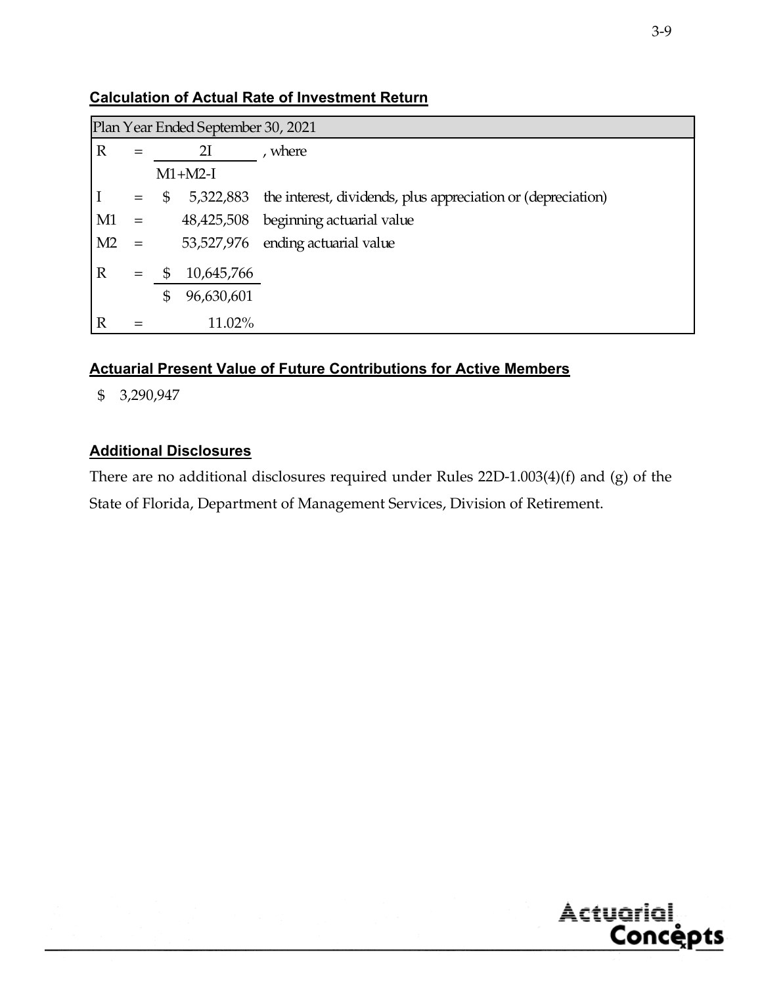|                | Plan Year Ended September 30, 2021 |    |            |                                                              |  |  |  |  |  |
|----------------|------------------------------------|----|------------|--------------------------------------------------------------|--|--|--|--|--|
| $\mathbb{R}$   |                                    | 2I |            | , where                                                      |  |  |  |  |  |
| $M1+M2-I$      |                                    |    |            |                                                              |  |  |  |  |  |
|                | $=$                                | \$ | 5,322,883  | the interest, dividends, plus appreciation or (depreciation) |  |  |  |  |  |
| M1             | $=$                                |    |            | 48,425,508 beginning actuarial value                         |  |  |  |  |  |
| M <sub>2</sub> | $=$                                |    |            | 53,527,976 ending actuarial value                            |  |  |  |  |  |
| $\mathbb{R}$   |                                    | \$ | 10,645,766 |                                                              |  |  |  |  |  |
|                |                                    | \$ | 96,630,601 |                                                              |  |  |  |  |  |
| $\mathbb R$    |                                    |    | 11.02%     |                                                              |  |  |  |  |  |

# **Calculation of Actual Rate of Investment Return**

# **Actuarial Present Value of Future Contributions for Active Members**

\$ 3,290,947

# **Additional Disclosures**

There are no additional disclosures required under Rules 22D-1.003(4)(f) and (g) of the State of Florida, Department of Management Services, Division of Retirement.



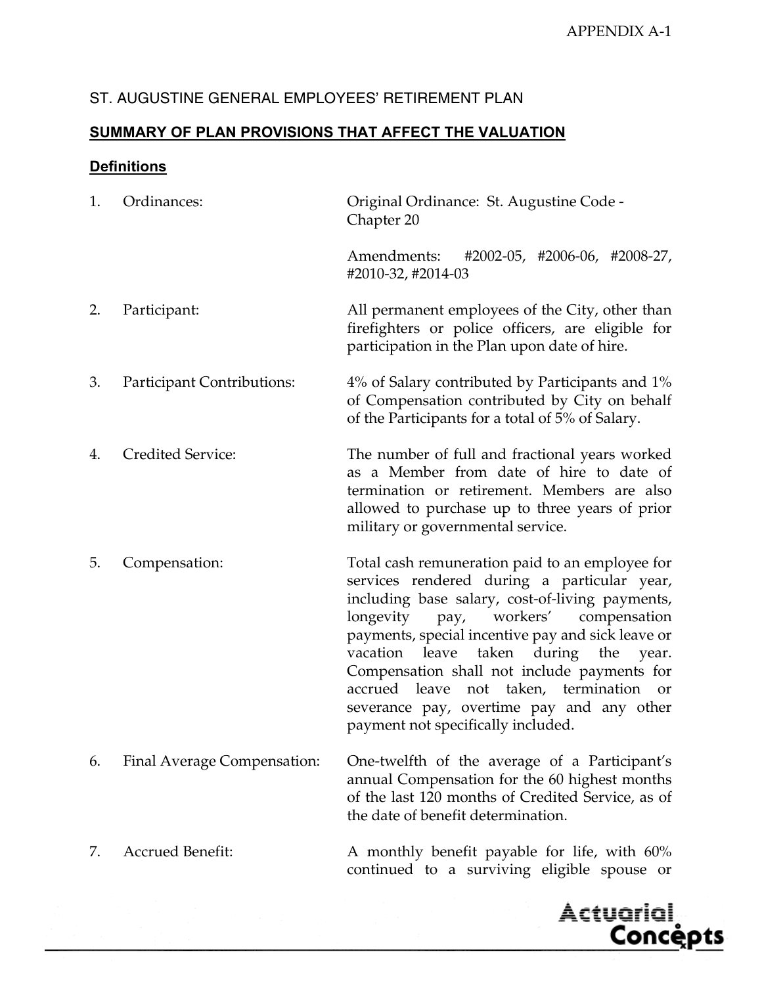# **SUMMARY OF PLAN PROVISIONS THAT AFFECT THE VALUATION**

# **Definitions**

| 1. | Ordinances:                 | Original Ordinance: St. Augustine Code -<br>Chapter 20                                                                                                                                                                                                                                                                                                                                                                                                                                                    |
|----|-----------------------------|-----------------------------------------------------------------------------------------------------------------------------------------------------------------------------------------------------------------------------------------------------------------------------------------------------------------------------------------------------------------------------------------------------------------------------------------------------------------------------------------------------------|
|    |                             | Amendments:<br>$\#2002-05$ , $\#2006-06$ , $\#2008-27$ ,<br>#2010-32, #2014-03                                                                                                                                                                                                                                                                                                                                                                                                                            |
| 2. | Participant:                | All permanent employees of the City, other than<br>firefighters or police officers, are eligible for<br>participation in the Plan upon date of hire.                                                                                                                                                                                                                                                                                                                                                      |
| 3. | Participant Contributions:  | 4% of Salary contributed by Participants and 1%<br>of Compensation contributed by City on behalf<br>of the Participants for a total of 5% of Salary.                                                                                                                                                                                                                                                                                                                                                      |
| 4. | Credited Service:           | The number of full and fractional years worked<br>as a Member from date of hire to date of<br>termination or retirement. Members are also<br>allowed to purchase up to three years of prior<br>military or governmental service.                                                                                                                                                                                                                                                                          |
| 5. | Compensation:               | Total cash remuneration paid to an employee for<br>services rendered during a particular year,<br>including base salary, cost-of-living payments,<br>workers'<br>longevity<br>compensation<br>pay,<br>payments, special incentive pay and sick leave or<br>taken<br>during<br>the<br>vacation<br>leave<br>year.<br>Compensation shall not include payments for<br>accrued leave<br>not taken, termination<br><b>or</b><br>severance pay, overtime pay and any other<br>payment not specifically included. |
| 6. | Final Average Compensation: | One-twelfth of the average of a Participant's<br>annual Compensation for the 60 highest months<br>of the last 120 months of Credited Service, as of<br>the date of benefit determination.                                                                                                                                                                                                                                                                                                                 |
| 7. | <b>Accrued Benefit:</b>     | A monthly benefit payable for life, with 60%                                                                                                                                                                                                                                                                                                                                                                                                                                                              |



continued to a surviving eligible spouse or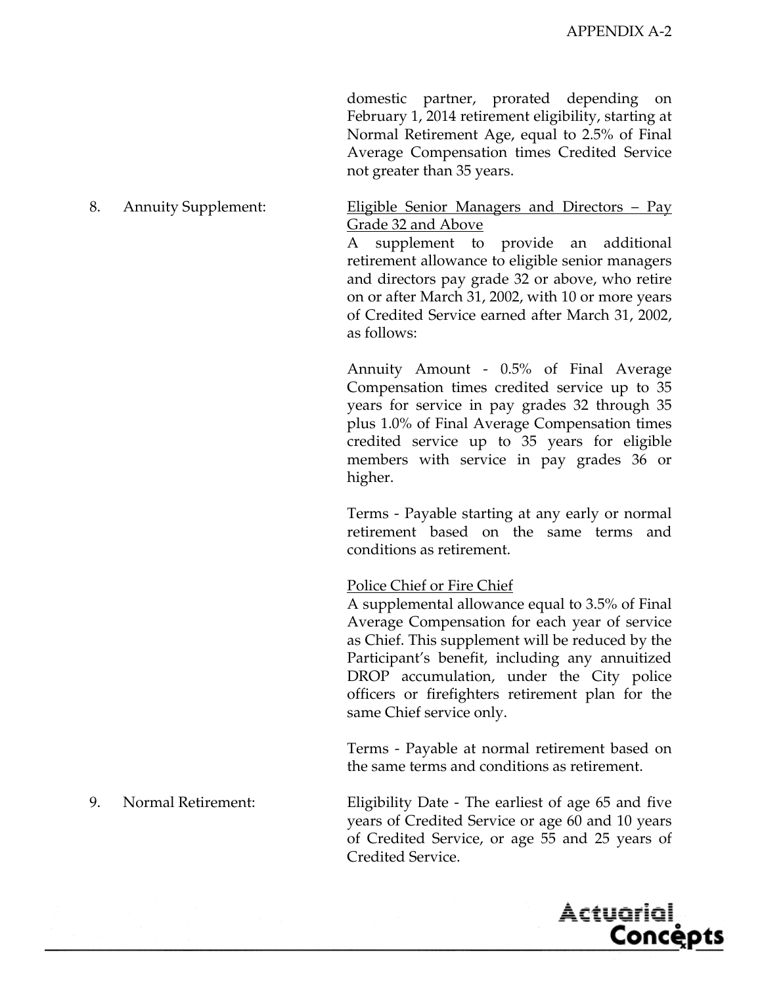domestic partner, prorated depending on February 1, 2014 retirement eligibility, starting at Normal Retirement Age, equal to 2.5% of Final Average Compensation times Credited Service not greater than 35 years.

#### 8. Annuity Supplement: <u>Eligible Senior Managers and Directors – Pay</u> Grade 32 and Above

 A supplement to provide an additional retirement allowance to eligible senior managers and directors pay grade 32 or above, who retire on or after March 31, 2002, with 10 or more years of Credited Service earned after March 31, 2002, as follows:

 Annuity Amount - 0.5% of Final Average Compensation times credited service up to 35 years for service in pay grades 32 through 35 plus 1.0% of Final Average Compensation times credited service up to 35 years for eligible members with service in pay grades 36 or higher.

 Terms - Payable starting at any early or normal retirement based on the same terms and conditions as retirement.

#### Police Chief or Fire Chief

 A supplemental allowance equal to 3.5% of Final Average Compensation for each year of service as Chief. This supplement will be reduced by the Participant's benefit, including any annuitized DROP accumulation, under the City police officers or firefighters retirement plan for the same Chief service only.

 Terms - Payable at normal retirement based on the same terms and conditions as retirement.

9. Normal Retirement: Eligibility Date - The earliest of age 65 and five years of Credited Service or age 60 and 10 years of Credited Service, or age 55 and 25 years of Credited Service.

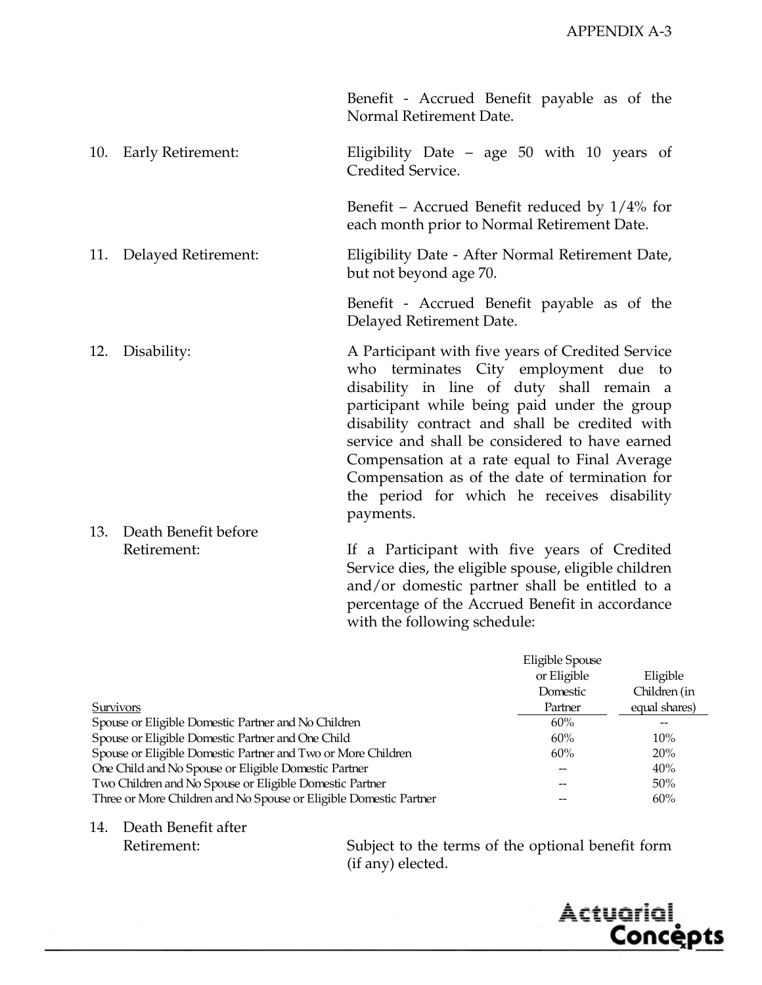Benefit - Accrued Benefit payable as of the Normal Retirement Date.

10. Early Retirement: Eligibility Date – age 50 with 10 years of Credited Service.

> Benefit – Accrued Benefit reduced by 1/4% for each month prior to Normal Retirement Date.

11. Delayed Retirement: Eligibility Date - After Normal Retirement Date, but not beyond age 70.

> Benefit - Accrued Benefit payable as of the Delayed Retirement Date.

- 12. Disability: A Participant with five years of Credited Service who terminates City employment due to disability in line of duty shall remain a participant while being paid under the group disability contract and shall be credited with service and shall be considered to have earned Compensation at a rate equal to Final Average Compensation as of the date of termination for the period for which he receives disability payments.
- 13. Death Benefit before

Retirement: If a Participant with five years of Credited Service dies, the eligible spouse, eligible children and/or domestic partner shall be entitled to a percentage of the Accrued Benefit in accordance with the following schedule:

|                                                                   | Eligible Spouse |               |
|-------------------------------------------------------------------|-----------------|---------------|
|                                                                   | or Eligible     | Eligible      |
|                                                                   | Domestic        | Children (in  |
| <b>Survivors</b>                                                  | Partner         | equal shares) |
| Spouse or Eligible Domestic Partner and No Children               | 60%             |               |
| Spouse or Eligible Domestic Partner and One Child                 | 60%             | 10%           |
| Spouse or Eligible Domestic Partner and Two or More Children      | 60%             | 20%           |
| One Child and No Spouse or Eligible Domestic Partner              |                 | 40%           |
| Two Children and No Spouse or Eligible Domestic Partner           |                 | 50%           |
| Three or More Children and No Spouse or Eligible Domestic Partner |                 | 60%           |

14. Death Benefit after

Retirement: Subject to the terms of the optional benefit form (if any) elected.

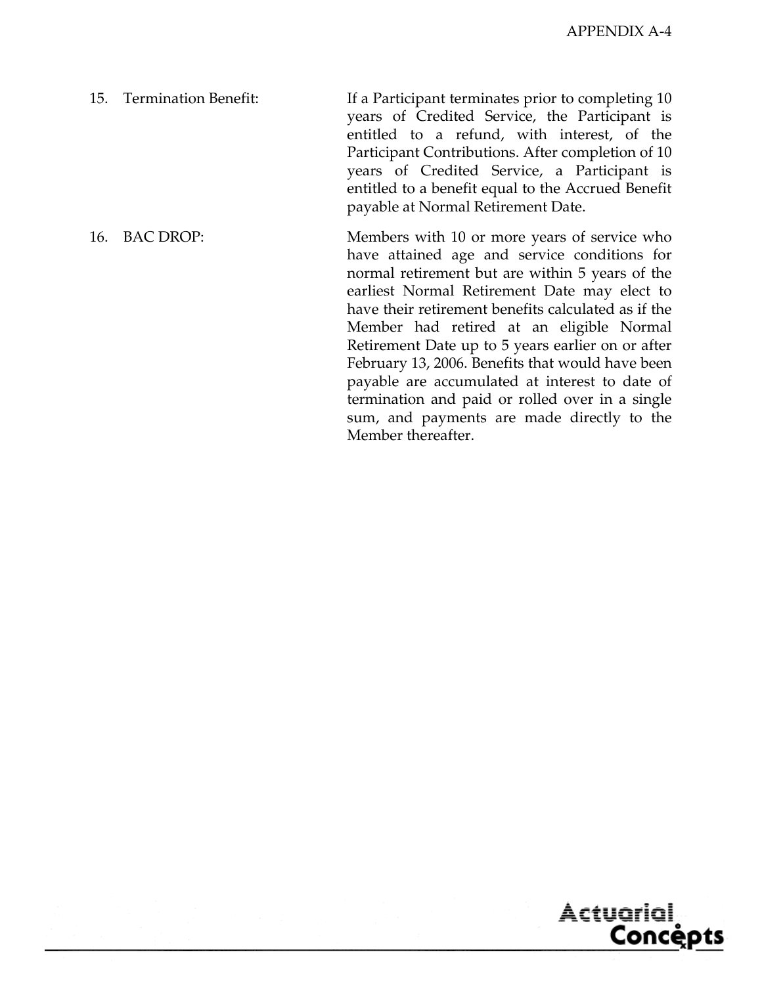15. Termination Benefit: If a Participant terminates prior to completing 10 years of Credited Service, the Participant is entitled to a refund, with interest, of the Participant Contributions. After completion of 10 years of Credited Service, a Participant is entitled to a benefit equal to the Accrued Benefit payable at Normal Retirement Date.

16. BAC DROP: Members with 10 or more years of service who have attained age and service conditions for normal retirement but are within 5 years of the earliest Normal Retirement Date may elect to have their retirement benefits calculated as if the Member had retired at an eligible Normal Retirement Date up to 5 years earlier on or after February 13, 2006. Benefits that would have been payable are accumulated at interest to date of termination and paid or rolled over in a single sum, and payments are made directly to the Member thereafter.

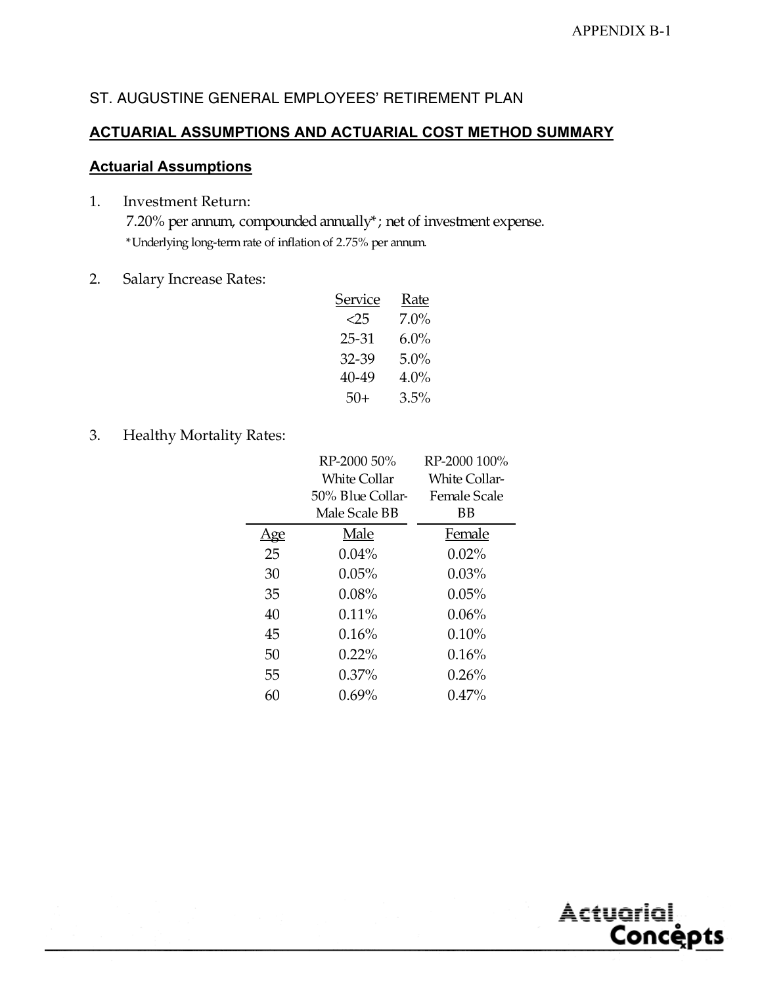# **ACTUARIAL ASSUMPTIONS AND ACTUARIAL COST METHOD SUMMARY**

# **Actuarial Assumptions**

- 1. Investment Return: 7.20% per annum, compounded annually\*; net of investment expense. \*Underlying long-term rate of inflation of 2.75% per annum.
- 2. Salary Increase Rates:

| Service | Rate    |
|---------|---------|
| <25     | $7.0\%$ |
| 25-31   | 6.0%    |
| 32-39   | 5.0%    |
| 40-49   | $4.0\%$ |
| $50+$   | $3.5\%$ |

3. Healthy Mortality Rates:

|            | RP-2000 50%         | RP-2000 100%         |
|------------|---------------------|----------------------|
|            | <b>White Collar</b> | <b>White Collar-</b> |
|            | 50% Blue Collar-    | Female Scale         |
|            | Male Scale BB       | ΒB                   |
| <u>lge</u> | Male                | Female               |
| 25         | $0.04\%$            | $0.02\%$             |
| 30         | $0.05\%$            | $0.03\%$             |
| 35         | 0.08%               | 0.05%                |
| 40         | $0.11\%$            | $0.06\%$             |
| 45         | 0.16%               | $0.10\%$             |
| 50         | $0.22\%$            | 0.16%                |
| 55         | $0.37\%$            | 0.26%                |
| 60         | $0.69\%$            | $0.47\%$             |
|            |                     |                      |

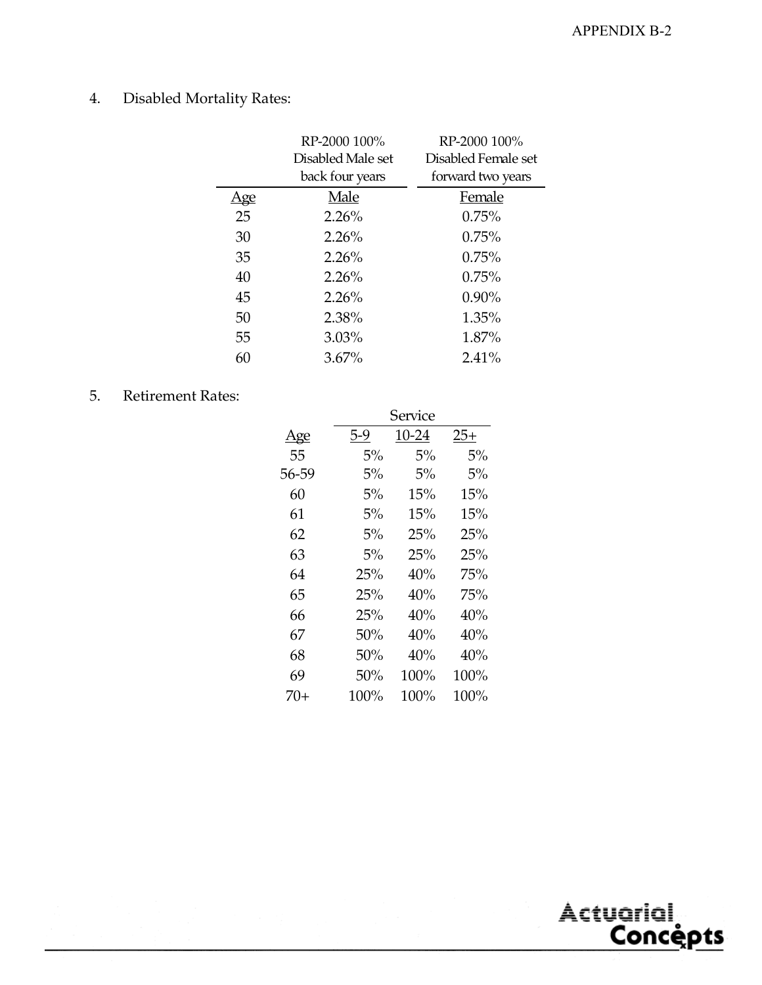# 4. Disabled Mortality Rates:

|            | RP-2000 100%      | RP-2000 100%        |
|------------|-------------------|---------------------|
|            | Disabled Male set | Disabled Female set |
|            | back four years   | forward two years   |
| <u>Age</u> | Male              | Female              |
| 25         | 2.26%             | 0.75%               |
| 30         | 2.26%             | 0.75%               |
| 35         | $2.26\%$          | $0.75\%$            |
| 40         | 2.26%             | 0.75%               |
| 45         | 2.26%             | $0.90\%$            |
| 50         | 2.38%             | 1.35%               |
| 55         | $3.03\%$          | 1.87%               |
| 60         | $3.67\%$          | $2.41\%$            |

# 5. Retirement Rates:

|            | Service |         |        |  |  |  |  |  |  |
|------------|---------|---------|--------|--|--|--|--|--|--|
| <u>Age</u> | 5-9     | 10-24   | $25+$  |  |  |  |  |  |  |
| 55         | 5%      | 5%      | 5%     |  |  |  |  |  |  |
| 56-59      | 5%      | 5%      | 5%     |  |  |  |  |  |  |
| 60         | 5%      | 15%     | 15%    |  |  |  |  |  |  |
| 61         | 5%      | 15%     | 15%    |  |  |  |  |  |  |
| 62         | 5%      | 25%     | 25%    |  |  |  |  |  |  |
| 63         | 5%      | 25%     | 25%    |  |  |  |  |  |  |
| 64         | 25%     | 40%     | 75%    |  |  |  |  |  |  |
| 65         | 25%     | 40%     | 75%    |  |  |  |  |  |  |
| 66         | 25%     | 40%     | 40%    |  |  |  |  |  |  |
| 67         | 50%     | 40%     | 40%    |  |  |  |  |  |  |
| 68         | 50%     | 40%     | $40\%$ |  |  |  |  |  |  |
| 69         | 50%     | $100\%$ | 100%   |  |  |  |  |  |  |
| 70+        | 100%    | 100%    | 100%   |  |  |  |  |  |  |

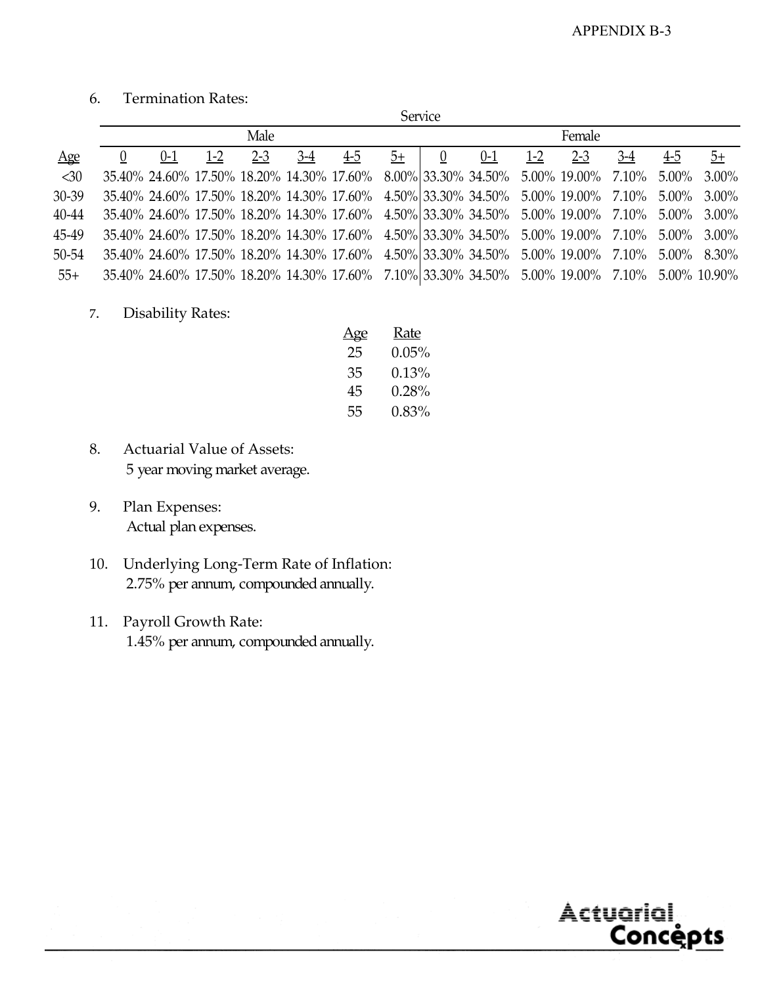# 6. Termination Rates:

|           | Service |         |         |         |       |                                                                                               |      |          |         |       |         |       |     |      |
|-----------|---------|---------|---------|---------|-------|-----------------------------------------------------------------------------------------------|------|----------|---------|-------|---------|-------|-----|------|
|           | Male    |         |         |         |       |                                                                                               |      | Female   |         |       |         |       |     |      |
| Age       |         | $0 - 1$ | $1 - 2$ | $2 - 3$ | $3-4$ | $4-5$                                                                                         | $5+$ | $\theta$ | $0 - 1$ | $1-2$ | $2 - 3$ | $3-4$ | 4-5 | $5+$ |
| $30$      |         |         |         |         |       | 35.40% 24.60% 17.50% 18.20% 14.30% 17.60% 8.00% 33.30% 34.50% 5.00% 19.00% 7.10% 5.00% 3.00%  |      |          |         |       |         |       |     |      |
| $30 - 39$ |         |         |         |         |       | 35.40% 24.60% 17.50% 18.20% 14.30% 17.60% 4.50% 33.30% 34.50% 5.00% 19.00% 7.10% 5.00% 3.00%  |      |          |         |       |         |       |     |      |
| 40-44     |         |         |         |         |       | 35.40% 24.60% 17.50% 18.20% 14.30% 17.60% 4.50% 33.30% 34.50% 5.00% 19.00% 7.10% 5.00% 3.00%  |      |          |         |       |         |       |     |      |
| 45-49     |         |         |         |         |       | 35.40% 24.60% 17.50% 18.20% 14.30% 17.60% 4.50% 33.30% 34.50% 5.00% 19.00% 7.10% 5.00% 3.00%  |      |          |         |       |         |       |     |      |
| $50 - 54$ |         |         |         |         |       | 35.40% 24.60% 17.50% 18.20% 14.30% 17.60% 4.50% 33.30% 34.50% 5.00% 19.00% 7.10% 5.00% 8.30%  |      |          |         |       |         |       |     |      |
| $55+$     |         |         |         |         |       | 35.40% 24.60% 17.50% 18.20% 14.30% 17.60% 7.10% 33.30% 34.50% 5.00% 19.00% 7.10% 5.00% 10.90% |      |          |         |       |         |       |     |      |

7. Disability Rates:

| Age | <b>Rate</b> |
|-----|-------------|
| 25  | $0.05\%$    |
| 35  | $0.13\%$    |
| 45  | $0.28\%$    |
| 55  | 0.83%       |

- 8. Actuarial Value of Assets: 5 year moving market average.
- 9. Plan Expenses: Actual plan expenses.
- 10. Underlying Long-Term Rate of Inflation: 2.75% per annum, compounded annually.
- 11. Payroll Growth Rate: 1.45% per annum, compounded annually.

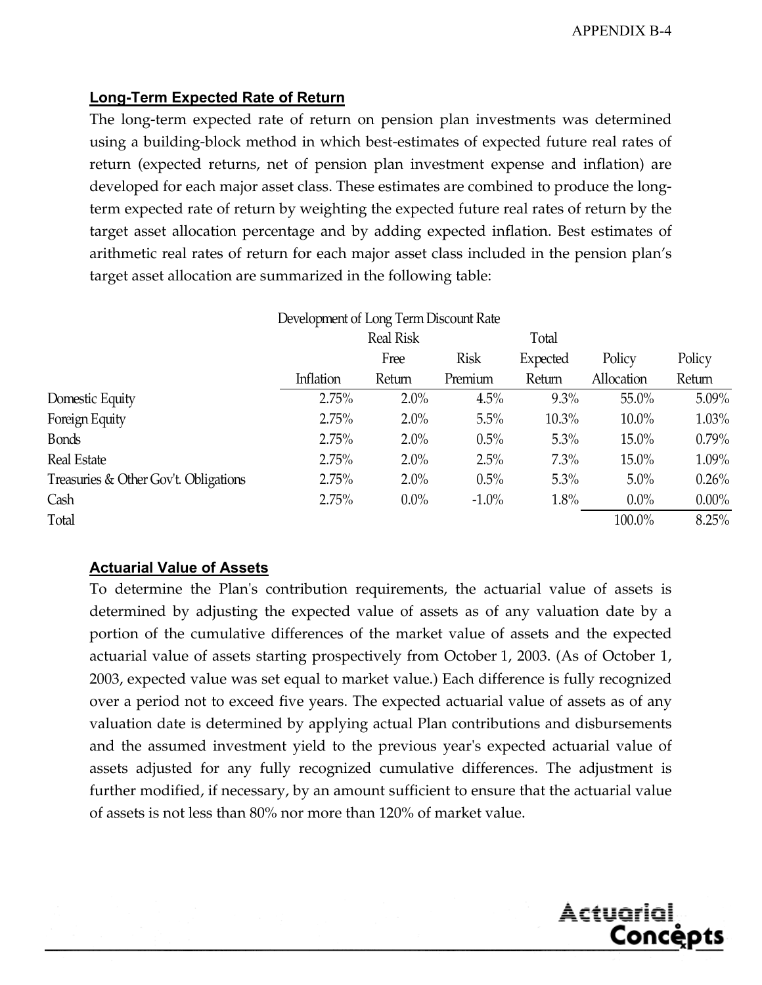Actuarial,

<u>Concepts</u>

# **Long-Term Expected Rate of Return**

The long-term expected rate of return on pension plan investments was determined using a building-block method in which best-estimates of expected future real rates of return (expected returns, net of pension plan investment expense and inflation) are developed for each major asset class. These estimates are combined to produce the longterm expected rate of return by weighting the expected future real rates of return by the target asset allocation percentage and by adding expected inflation. Best estimates of arithmetic real rates of return for each major asset class included in the pension plan's target asset allocation are summarized in the following table:

|                                       | Development of Long Term Discount Rate |                  |          |          |            |          |  |  |  |  |  |
|---------------------------------------|----------------------------------------|------------------|----------|----------|------------|----------|--|--|--|--|--|
|                                       |                                        | <b>Real Risk</b> |          | Total    |            |          |  |  |  |  |  |
|                                       |                                        | Free             | Risk     | Expected | Policy     | Policy   |  |  |  |  |  |
|                                       | Inflation                              | Return           | Premium  | Return   | Allocation | Return   |  |  |  |  |  |
| Domestic Equity                       | 2.75%                                  | $2.0\%$          | 4.5%     | 9.3%     | $55.0\%$   | 5.09%    |  |  |  |  |  |
| Foreign Equity                        | 2.75%                                  | $2.0\%$          | 5.5%     | $10.3\%$ | $10.0\%$   | $1.03\%$ |  |  |  |  |  |
| <b>B</b> onds                         | 2.75%                                  | $2.0\%$          | 0.5%     | 5.3%     | $15.0\%$   | $0.79\%$ |  |  |  |  |  |
| Real Estate                           | 2.75%                                  | $2.0\%$          | 2.5%     | 7.3%     | $15.0\%$   | 1.09%    |  |  |  |  |  |
| Treasuries & Other Gov't. Obligations | 2.75%                                  | $2.0\%$          | 0.5%     | 5.3%     | $5.0\%$    | 0.26%    |  |  |  |  |  |
| Cash                                  | 2.75%                                  | $0.0\%$          | $-1.0\%$ | 1.8%     | $0.0\%$    | $0.00\%$ |  |  |  |  |  |
| Total                                 |                                        |                  |          |          | 100.0%     | 8.25%    |  |  |  |  |  |

#### **Actuarial Value of Assets**

To determine the Plan's contribution requirements, the actuarial value of assets is determined by adjusting the expected value of assets as of any valuation date by a portion of the cumulative differences of the market value of assets and the expected actuarial value of assets starting prospectively from October 1, 2003. (As of October 1, 2003, expected value was set equal to market value.) Each difference is fully recognized over a period not to exceed five years. The expected actuarial value of assets as of any valuation date is determined by applying actual Plan contributions and disbursements and the assumed investment yield to the previous year's expected actuarial value of assets adjusted for any fully recognized cumulative differences. The adjustment is further modified, if necessary, by an amount sufficient to ensure that the actuarial value of assets is not less than 80% nor more than 120% of market value.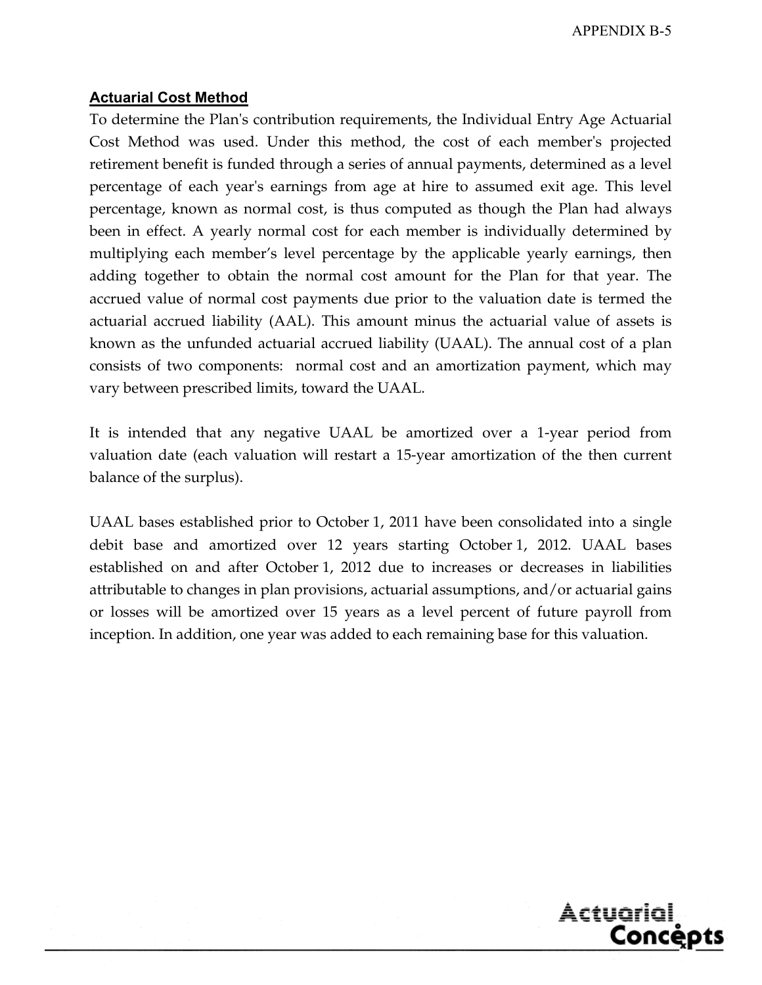#### **Actuarial Cost Method**

To determine the Plan's contribution requirements, the Individual Entry Age Actuarial Cost Method was used. Under this method, the cost of each member's projected retirement benefit is funded through a series of annual payments, determined as a level percentage of each year's earnings from age at hire to assumed exit age. This level percentage, known as normal cost, is thus computed as though the Plan had always been in effect. A yearly normal cost for each member is individually determined by multiplying each member's level percentage by the applicable yearly earnings, then adding together to obtain the normal cost amount for the Plan for that year. The accrued value of normal cost payments due prior to the valuation date is termed the actuarial accrued liability (AAL). This amount minus the actuarial value of assets is known as the unfunded actuarial accrued liability (UAAL). The annual cost of a plan consists of two components: normal cost and an amortization payment, which may vary between prescribed limits, toward the UAAL.

It is intended that any negative UAAL be amortized over a 1-year period from valuation date (each valuation will restart a 15-year amortization of the then current balance of the surplus).

UAAL bases established prior to October 1, 2011 have been consolidated into a single debit base and amortized over 12 years starting October 1, 2012. UAAL bases established on and after October 1, 2012 due to increases or decreases in liabilities attributable to changes in plan provisions, actuarial assumptions, and/or actuarial gains or losses will be amortized over 15 years as a level percent of future payroll from inception. In addition, one year was added to each remaining base for this valuation.

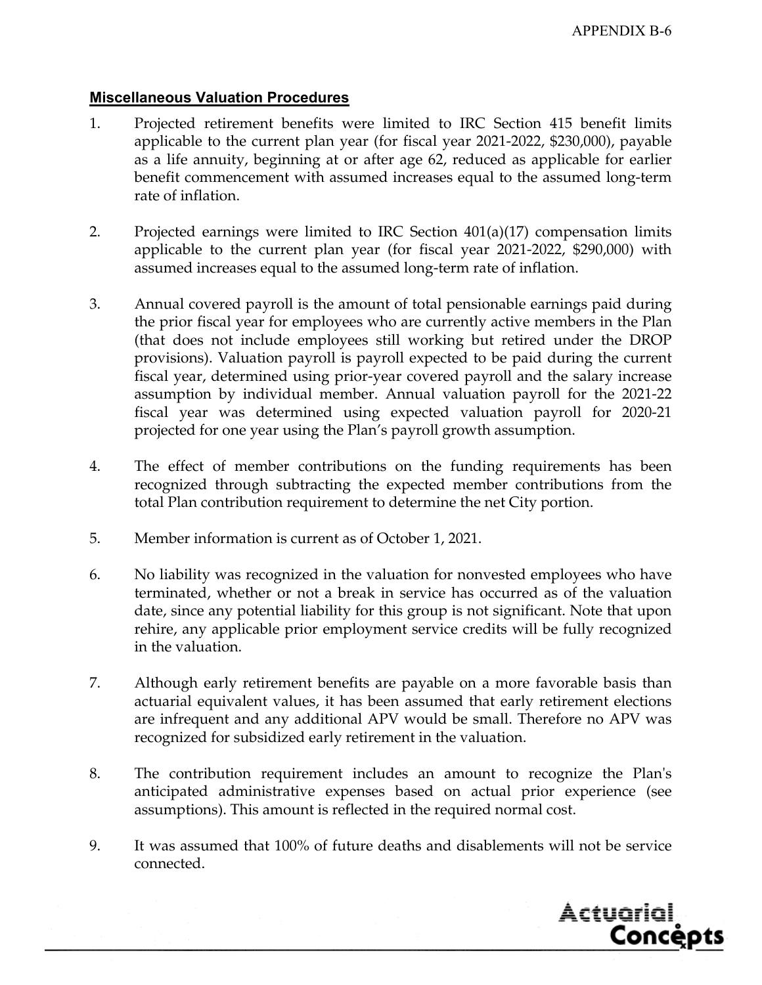#### **Miscellaneous Valuation Procedures**

- 1. Projected retirement benefits were limited to IRC Section 415 benefit limits applicable to the current plan year (for fiscal year 2021-2022, \$230,000), payable as a life annuity, beginning at or after age 62, reduced as applicable for earlier benefit commencement with assumed increases equal to the assumed long-term rate of inflation.
- 2. Projected earnings were limited to IRC Section 401(a)(17) compensation limits applicable to the current plan year (for fiscal year 2021-2022, \$290,000) with assumed increases equal to the assumed long-term rate of inflation.
- 3. Annual covered payroll is the amount of total pensionable earnings paid during the prior fiscal year for employees who are currently active members in the Plan (that does not include employees still working but retired under the DROP provisions). Valuation payroll is payroll expected to be paid during the current fiscal year, determined using prior-year covered payroll and the salary increase assumption by individual member. Annual valuation payroll for the 2021-22 fiscal year was determined using expected valuation payroll for 2020-21 projected for one year using the Plan's payroll growth assumption.
- 4. The effect of member contributions on the funding requirements has been recognized through subtracting the expected member contributions from the total Plan contribution requirement to determine the net City portion.
- 5. Member information is current as of October 1, 2021.
- 6. No liability was recognized in the valuation for nonvested employees who have terminated, whether or not a break in service has occurred as of the valuation date, since any potential liability for this group is not significant. Note that upon rehire, any applicable prior employment service credits will be fully recognized in the valuation.
- 7. Although early retirement benefits are payable on a more favorable basis than actuarial equivalent values, it has been assumed that early retirement elections are infrequent and any additional APV would be small. Therefore no APV was recognized for subsidized early retirement in the valuation.
- 8. The contribution requirement includes an amount to recognize the Plan's anticipated administrative expenses based on actual prior experience (see assumptions). This amount is reflected in the required normal cost.
- 9. It was assumed that 100% of future deaths and disablements will not be service connected.

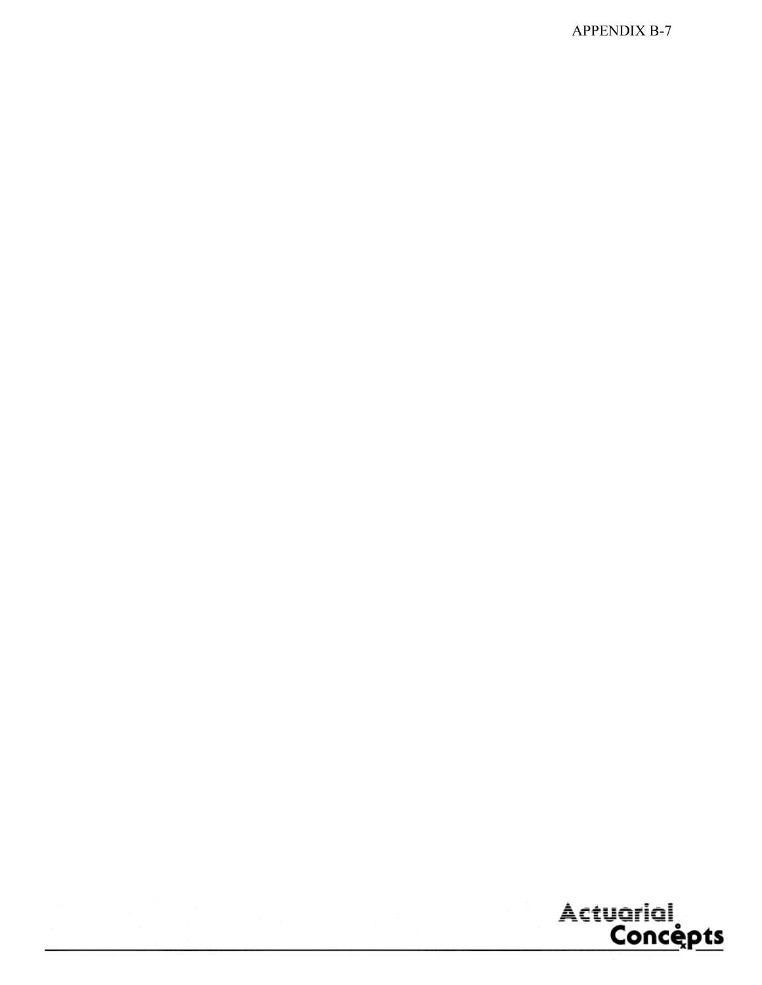APPENDIX B-7

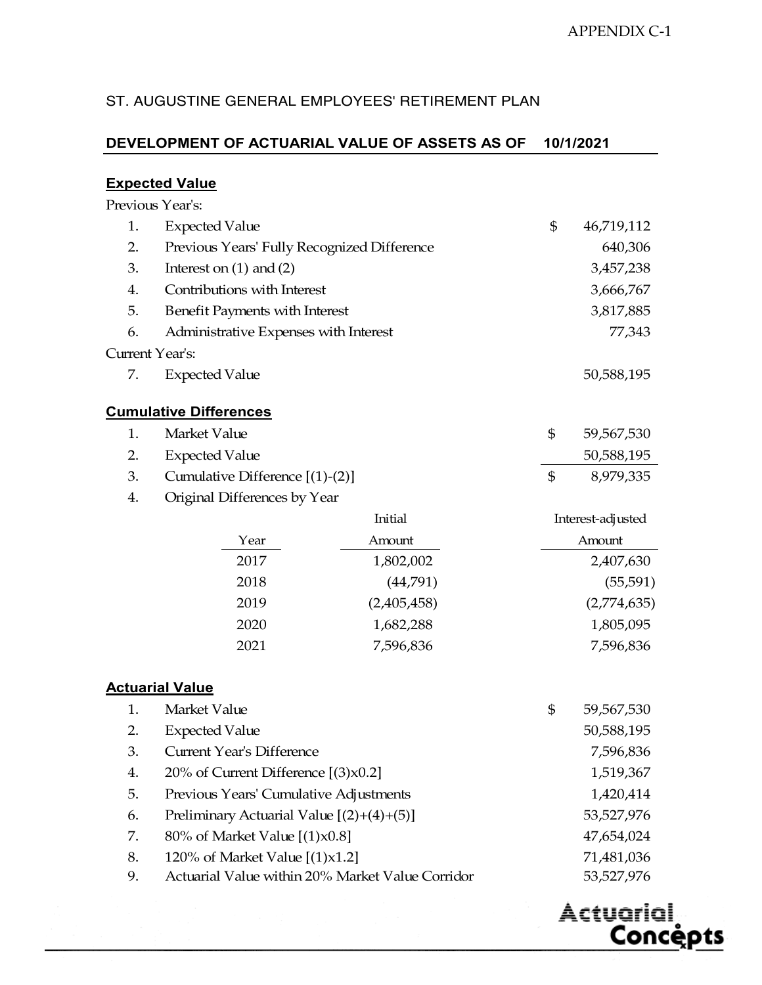Actuarial,

<u>Concepts</u>

#### ST. AUGUSTINE GENERAL EMPLOYEES' RETIREMENT PLAN

# **DEVELOPMENT OF ACTUARIAL VALUE OF ASSETS AS OF 10/1/2021**

#### **Expected Value**

Previous Year's:

|                 | <b>Expected Value</b>                       | \$<br>46,719,112 |
|-----------------|---------------------------------------------|------------------|
| 2.              | Previous Years' Fully Recognized Difference | 640,306          |
| 3.              | Interest on $(1)$ and $(2)$                 | 3,457,238        |
| 4.              | Contributions with Interest                 | 3,666,767        |
| 5.              | Benefit Payments with Interest              | 3,817,885        |
| 6.              | Administrative Expenses with Interest       | 77,343           |
| Current Year's: |                                             |                  |
| 7.              | <b>Expected Value</b>                       | 50,588,195       |

#### **Cumulative Differences**

| Market Value                         | 59,567,530 |
|--------------------------------------|------------|
| 2. Expected Value                    | 50,588,195 |
| 3. Cumulative Difference $[(1)-(2)]$ | 8,979,335  |

4. Original Differences by Year

|      | Initial     | Interest-adjusted |
|------|-------------|-------------------|
| Year | Amount      | Amount            |
| 2017 | 1,802,002   | 2,407,630         |
| 2018 | (44,791)    | (55, 591)         |
| 2019 | (2,405,458) | (2,774,635)       |
| 2020 | 1,682,288   | 1,805,095         |
| 2021 | 7,596,836   | 7,596,836         |

#### **Actuarial Value**

|    | Market Value                                     | \$<br>59,567,530 |
|----|--------------------------------------------------|------------------|
| 2. | <b>Expected Value</b>                            | 50,588,195       |
| 3. | Current Year's Difference                        | 7,596,836        |
| 4. | 20% of Current Difference $[(3) \times 0.2]$     | 1,519,367        |
| 5. | Previous Years' Cumulative Adjustments           | 1,420,414        |
| 6. | Preliminary Actuarial Value $[(2)+(4)+(5)]$      | 53,527,976       |
| 7. | 80% of Market Value $[(1) \times 0.8]$           | 47,654,024       |
| 8. | 120% of Market Value $[(1) \times 1.2]$          | 71,481,036       |
| 9. | Actuarial Value within 20% Market Value Corridor | 53,527,976       |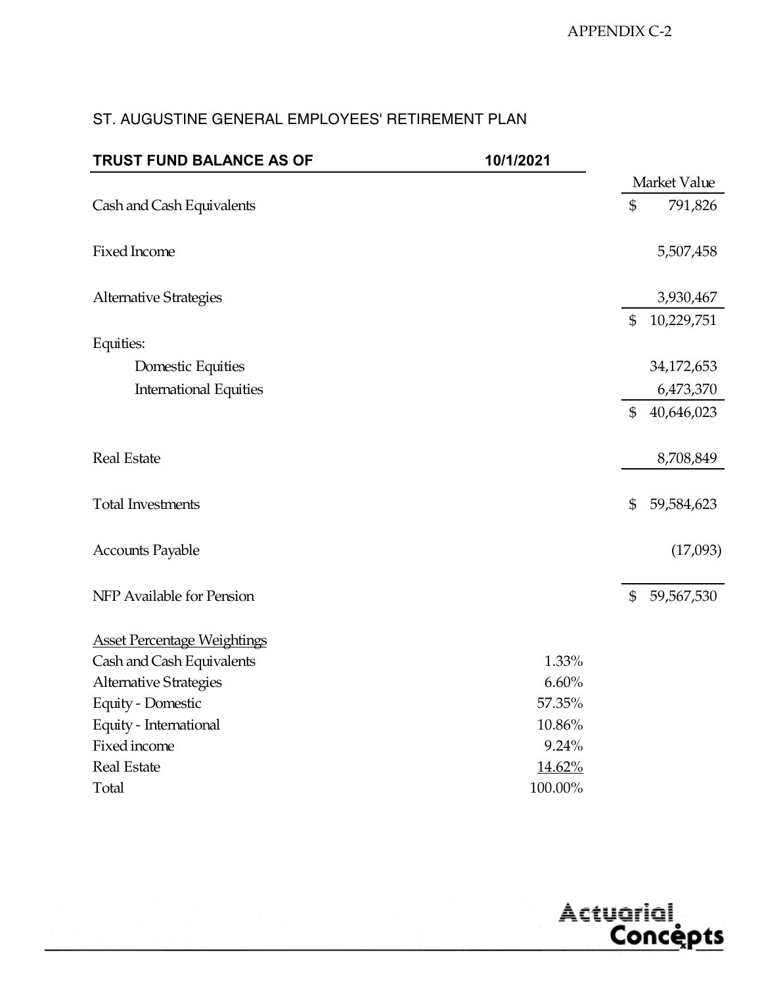| TRUST FUND BALANCE AS OF           | 10/1/2021 |                  |
|------------------------------------|-----------|------------------|
|                                    |           | Market Value     |
| Cash and Cash Equivalents          |           | \$<br>791,826    |
| Fixed Income                       |           | 5,507,458        |
| <b>Alternative Strategies</b>      |           | 3,930,467        |
|                                    |           | \$<br>10,229,751 |
| Equities:                          |           |                  |
| Domestic Equities                  |           | 34,172,653       |
| <b>International Equities</b>      |           | 6,473,370        |
|                                    |           | \$<br>40,646,023 |
| <b>Real Estate</b>                 |           | 8,708,849        |
| <b>Total Investments</b>           |           | \$<br>59,584,623 |
| <b>Accounts Payable</b>            |           | (17,093)         |
| NFP Available for Pension          |           | \$<br>59,567,530 |
| <b>Asset Percentage Weightings</b> |           |                  |
| Cash and Cash Equivalents          | 1.33%     |                  |
| <b>Alternative Strategies</b>      | 6.60%     |                  |
| Equity - Domestic                  | 57.35%    |                  |
| Equity - International             | 10.86%    |                  |
| Fixed income                       | 9.24%     |                  |
| <b>Real Estate</b>                 | 14.62%    |                  |
| Total                              | 100.00%   |                  |

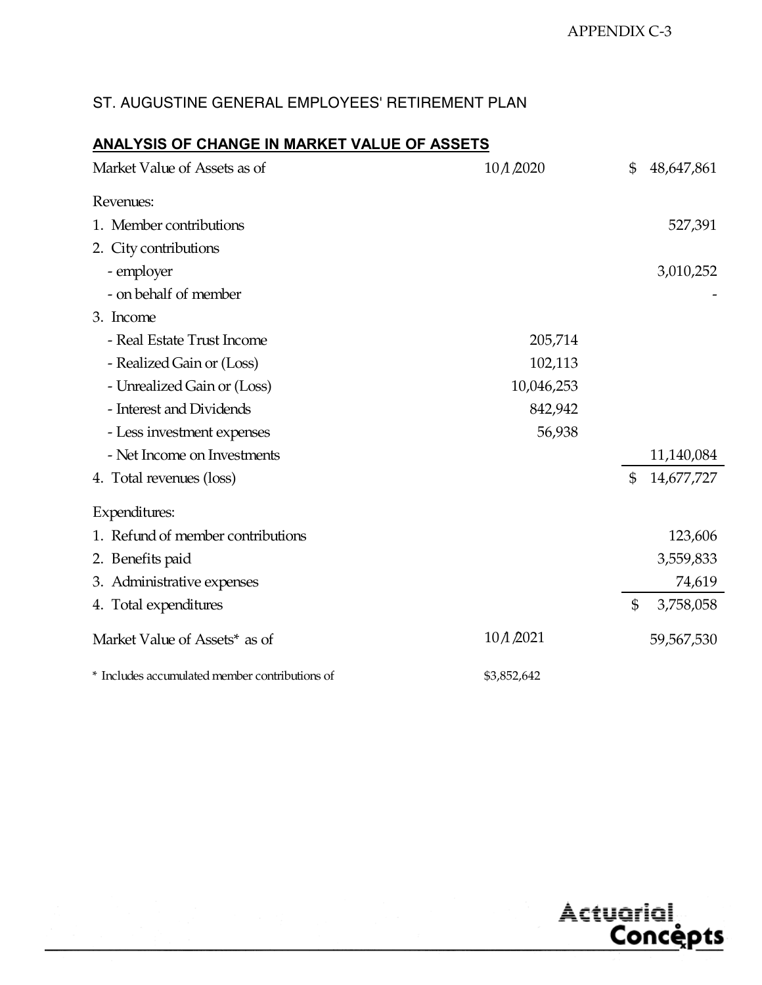# **ANALYSIS OF CHANGE IN MARKET VALUE OF ASSETS**

| Market Value of Assets as of                   | 10 A 2020   | \$             | 48,647,861 |
|------------------------------------------------|-------------|----------------|------------|
| Revenues:                                      |             |                |            |
| 1. Member contributions                        |             |                | 527,391    |
| 2. City contributions                          |             |                |            |
| - employer                                     |             |                | 3,010,252  |
| - on behalf of member                          |             |                |            |
| 3. Income                                      |             |                |            |
| - Real Estate Trust Income                     | 205,714     |                |            |
| - Realized Gain or (Loss)                      | 102,113     |                |            |
| - Unrealized Gain or (Loss)                    | 10,046,253  |                |            |
| - Interest and Dividends                       | 842,942     |                |            |
| - Less investment expenses                     | 56,938      |                |            |
| - Net Income on Investments                    |             |                | 11,140,084 |
| 4. Total revenues (loss)                       |             | $\mathfrak{S}$ | 14,677,727 |
| Expenditures:                                  |             |                |            |
| 1. Refund of member contributions              |             |                | 123,606    |
| 2. Benefits paid                               |             |                | 3,559,833  |
| 3. Administrative expenses                     |             |                | 74,619     |
| 4. Total expenditures                          |             | $\mathfrak{S}$ | 3,758,058  |
| Market Value of Assets* as of                  | 10 A 2021   |                | 59,567,530 |
| * Includes accumulated member contributions of | \$3,852,642 |                |            |

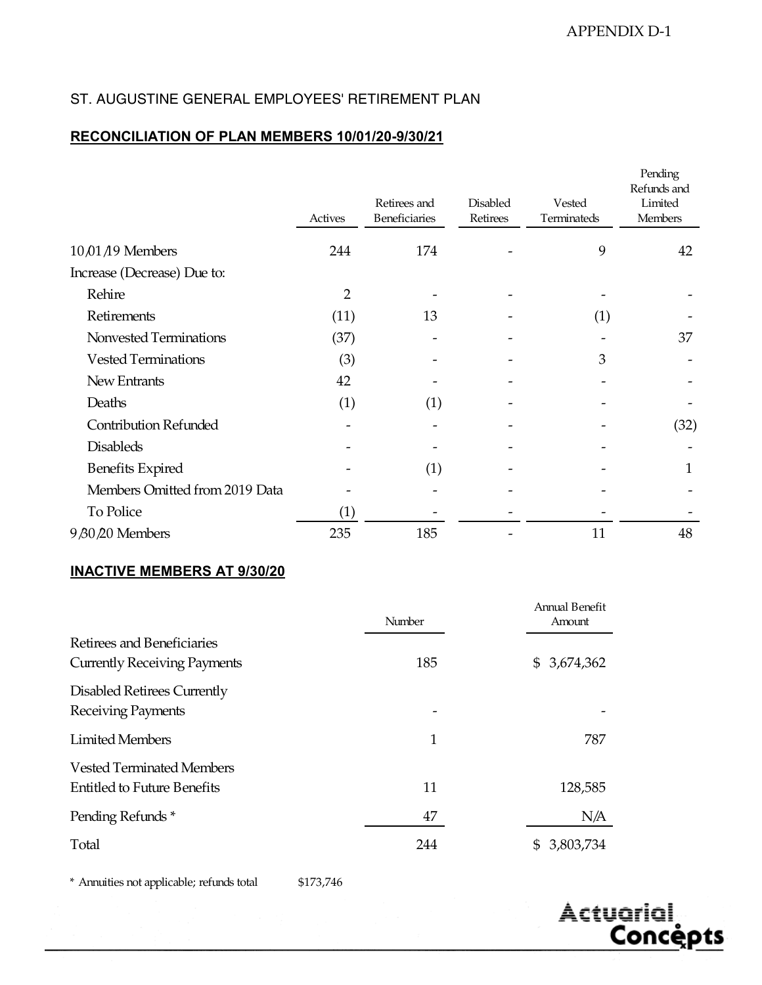#### **RECONCILIATION OF PLAN MEMBERS 10/01/20-9/30/21**

|                                | Actives        | Retirees and<br>Beneficiaries | <b>Disabled</b><br>Retirees | Vested<br>Terminateds | Pending<br>Refunds and<br>Limited<br>Members |
|--------------------------------|----------------|-------------------------------|-----------------------------|-----------------------|----------------------------------------------|
| $10,01/19$ Members             | 244            | 174                           |                             | 9                     | 42                                           |
| Increase (Decrease) Due to:    |                |                               |                             |                       |                                              |
| Rehire                         | $\overline{2}$ |                               |                             |                       |                                              |
| Retirements                    | (11)           | 13                            |                             | (1)                   |                                              |
| Nonvested Terminations         | (37)           |                               |                             |                       | 37                                           |
| <b>Vested Terminations</b>     | (3)            |                               |                             | 3                     |                                              |
| New Entrants                   | 42             |                               |                             |                       |                                              |
| Deaths                         | (1)            | (1)                           |                             |                       |                                              |
| <b>Contribution Refunded</b>   |                |                               |                             |                       | (32)                                         |
| <b>Disableds</b>               |                |                               |                             |                       |                                              |
| <b>Benefits Expired</b>        |                | (1)                           |                             |                       | 1                                            |
| Members Omitted from 2019 Data |                |                               |                             |                       |                                              |
| To Police                      | (1)            |                               |                             |                       |                                              |
| 9 80 20 Members                | 235            | 185                           |                             | 11                    | 48                                           |

#### **INACTIVE MEMBERS AT 9/30/20**

|                                                                        | Number | Annual Benefit<br>Amount |
|------------------------------------------------------------------------|--------|--------------------------|
| Retirees and Beneficiaries<br><b>Currently Receiving Payments</b>      | 185    | \$3,674,362              |
| Disabled Retirees Currently<br>Receiving Payments                      |        |                          |
| <b>Limited Members</b>                                                 | 1      | 787                      |
| <b>Vested Terminated Members</b><br><b>Entitled to Future Benefits</b> | 11     | 128,585                  |
| Pending Refunds*                                                       | 47     | N/A                      |
| Total                                                                  | 244    | \$ 3,803,734             |

\* Annuities not applicable; refunds total \$173,746

Actuarial, <u>Concepts</u>